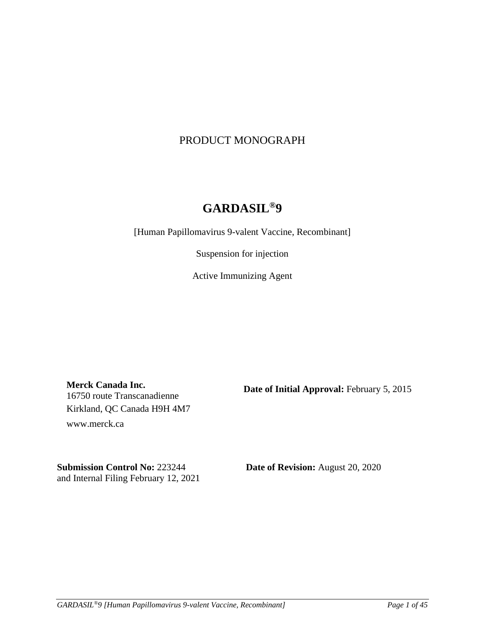# PRODUCT MONOGRAPH

# **GARDASIL® 9**

[Human Papillomavirus 9-valent Vaccine, Recombinant]

Suspension for injection

Active Immunizing Agent

**Merck Canada Inc.** 16750 route Transcanadienne Kirkland, QC Canada H9H 4M7 www.merck.ca

**Date of Initial Approval:** February 5, 2015

**Submission Control No:** 223244 **Date of Revision:** August 20, 2020 and Internal Filing February 12, 2021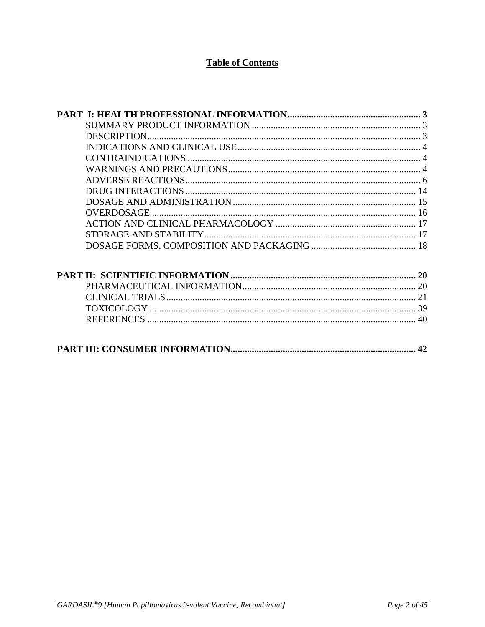# **Table of Contents**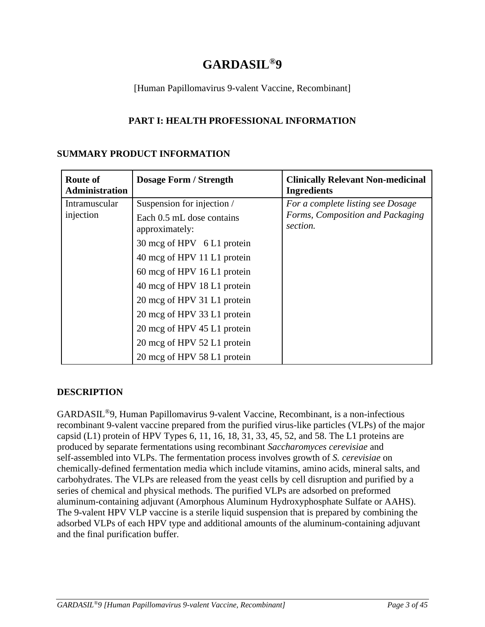# **GARDASIL® 9**

# [Human Papillomavirus 9-valent Vaccine, Recombinant]

# **PART I: HEALTH PROFESSIONAL INFORMATION**

# **SUMMARY PRODUCT INFORMATION**

| <b>Route of</b><br><b>Administration</b> | <b>Dosage Form / Strength</b>               | <b>Clinically Relevant Non-medicinal</b><br><b>Ingredients</b> |
|------------------------------------------|---------------------------------------------|----------------------------------------------------------------|
| Intramuscular                            | Suspension for injection /                  | For a complete listing see Dosage                              |
| injection                                | Each 0.5 mL dose contains<br>approximately: | Forms, Composition and Packaging<br>section.                   |
|                                          | 30 mcg of HPV 6 L1 protein                  |                                                                |
|                                          | 40 mcg of HPV 11 L1 protein                 |                                                                |
|                                          | 60 mcg of HPV 16 L1 protein                 |                                                                |
|                                          | 40 mcg of HPV 18 L1 protein                 |                                                                |
|                                          | 20 mcg of HPV 31 L1 protein                 |                                                                |
|                                          | 20 mcg of HPV 33 L1 protein                 |                                                                |
|                                          | 20 mcg of HPV 45 L1 protein                 |                                                                |
|                                          | 20 mcg of HPV 52 L1 protein                 |                                                                |
|                                          | 20 mcg of HPV 58 L1 protein                 |                                                                |

# **DESCRIPTION**

GARDASIL®9, Human Papillomavirus 9-valent Vaccine, Recombinant, is a non-infectious recombinant 9-valent vaccine prepared from the purified virus-like particles (VLPs) of the major capsid  $(L1)$  protein of HPV Types 6, 11, 16, 18, 31, 33, 45, 52, and 58. The L1 proteins are produced by separate fermentations using recombinant *Saccharomyces cerevisiae* and self-assembled into VLPs. The fermentation process involves growth of *S. cerevisiae* on chemically-defined fermentation media which include vitamins, amino acids, mineral salts, and carbohydrates. The VLPs are released from the yeast cells by cell disruption and purified by a series of chemical and physical methods. The purified VLPs are adsorbed on preformed aluminum-containing adjuvant (Amorphous Aluminum Hydroxyphosphate Sulfate or AAHS). The 9-valent HPV VLP vaccine is a sterile liquid suspension that is prepared by combining the adsorbed VLPs of each HPV type and additional amounts of the aluminum-containing adjuvant and the final purification buffer.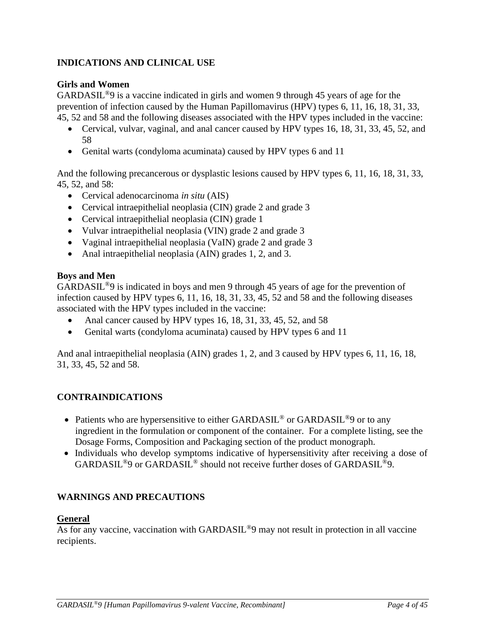# **INDICATIONS AND CLINICAL USE**

# **Girls and Women**

GARDASIL®9 is a vaccine indicated in girls and women 9 through 45 years of age for the prevention of infection caused by the Human Papillomavirus (HPV) types 6, 11, 16, 18, 31, 33, 45, 52 and 58 and the following diseases associated with the HPV types included in the vaccine:

- Cervical, vulvar, vaginal, and anal cancer caused by HPV types 16, 18, 31, 33, 45, 52, and 58
- Genital warts (condyloma acuminata) caused by HPV types 6 and 11

And the following precancerous or dysplastic lesions caused by HPV types 6, 11, 16, 18, 31, 33, 45, 52, and 58:

- Cervical adenocarcinoma *in situ* (AIS)
- Cervical intraepithelial neoplasia (CIN) grade 2 and grade 3
- Cervical intraepithelial neoplasia (CIN) grade 1
- Vulvar intraepithelial neoplasia (VIN) grade 2 and grade 3
- Vaginal intraepithelial neoplasia (VaIN) grade 2 and grade 3
- Anal intraepithelial neoplasia (AIN) grades 1, 2, and 3.

# **Boys and Men**

GARDASIL®9 is indicated in boys and men 9 through 45 years of age for the prevention of infection caused by HPV types 6, 11, 16, 18, 31, 33, 45, 52 and 58 and the following diseases associated with the HPV types included in the vaccine:

- Anal cancer caused by HPV types 16, 18, 31, 33, 45, 52, and 58
- Genital warts (condyloma acuminata) caused by HPV types 6 and 11

And anal intraepithelial neoplasia (AIN) grades 1, 2, and 3 caused by HPV types 6, 11, 16, 18, 31, 33, 45, 52 and 58.

# **CONTRAINDICATIONS**

- Patients who are hypersensitive to either GARDASIL<sup>®</sup> or GARDASIL<sup>®</sup>9 or to any ingredient in the formulation or component of the container. For a complete listing, see the Dosage Forms, Composition and Packaging section of the product monograph.
- Individuals who develop symptoms indicative of hypersensitivity after receiving a dose of GARDASIL®9 or GARDASIL® should not receive further doses of GARDASIL®9.

# **WARNINGS AND PRECAUTIONS**

# **General**

As for any vaccine, vaccination with GARDASIL®9 may not result in protection in all vaccine recipients.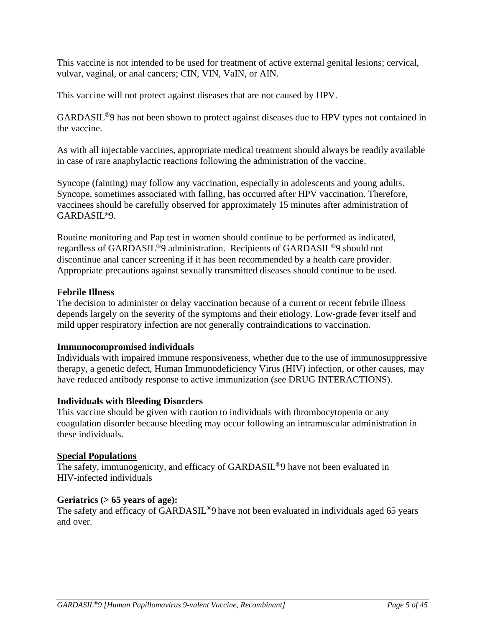This vaccine is not intended to be used for treatment of active external genital lesions; cervical, vulvar, vaginal, or anal cancers; CIN, VIN, VaIN, or AIN.

This vaccine will not protect against diseases that are not caused by HPV.

GARDASIL®9 has not been shown to protect against diseases due to HPV types not contained in the vaccine.

As with all injectable vaccines, appropriate medical treatment should always be readily available in case of rare anaphylactic reactions following the administration of the vaccine.

Syncope (fainting) may follow any vaccination, especially in adolescents and young adults. Syncope, sometimes associated with falling, has occurred after HPV vaccination. Therefore, vaccinees should be carefully observed for approximately 15 minutes after administration of GARDASIL®9.

Routine monitoring and Pap test in women should continue to be performed as indicated, regardless of GARDASIL®9 administration. Recipients of GARDASIL®9 should not discontinue anal cancer screening if it has been recommended by a health care provider. Appropriate precautions against sexually transmitted diseases should continue to be used.

## **Febrile Illness**

The decision to administer or delay vaccination because of a current or recent febrile illness depends largely on the severity of the symptoms and their etiology. Low-grade fever itself and mild upper respiratory infection are not generally contraindications to vaccination.

### **Immunocompromised individuals**

Individuals with impaired immune responsiveness, whether due to the use of immunosuppressive therapy, a genetic defect, Human Immunodeficiency Virus (HIV) infection, or other causes, may have reduced antibody response to active immunization (see DRUG INTERACTIONS).

### **Individuals with Bleeding Disorders**

This vaccine should be given with caution to individuals with thrombocytopenia or any coagulation disorder because bleeding may occur following an intramuscular administration in these individuals.

### **Special Populations**

The safety, immunogenicity, and efficacy of GARDASIL<sup>®</sup>9 have not been evaluated in HIV-infected individuals

### **Geriatrics (> 65 years of age):**

The safety and efficacy of GARDASIL<sup>®</sup>9 have not been evaluated in individuals aged 65 years and over.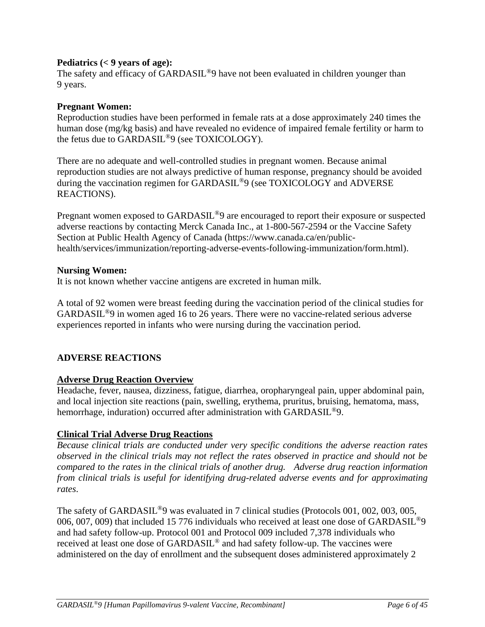# **Pediatrics (< 9 years of age):**

The safety and efficacy of GARDASIL<sup>®</sup>9 have not been evaluated in children younger than 9 years.

# **Pregnant Women:**

Reproduction studies have been performed in female rats at a dose approximately 240 times the human dose (mg/kg basis) and have revealed no evidence of impaired female fertility or harm to the fetus due to GARDASIL®9 (see TOXICOLOGY).

There are no adequate and well-controlled studies in pregnant women. Because animal reproduction studies are not always predictive of human response, pregnancy should be avoided during the vaccination regimen for GARDASIL®9 (see TOXICOLOGY and ADVERSE REACTIONS).

Pregnant women exposed to GARDASIL<sup>®</sup>9 are encouraged to report their exposure or suspected adverse reactions by contacting Merck Canada Inc., at 1-800-567-2594 or the Vaccine Safety Section at Public Health Agency of Canada (https://www.canada.ca/en/publichealth/services/immunization/reporting-adverse-events-following-immunization/form.html).

# **Nursing Women:**

It is not known whether vaccine antigens are excreted in human milk.

A total of 92 women were breast feeding during the vaccination period of the clinical studies for GARDASIL®9 in women aged 16 to 26 years. There were no vaccine-related serious adverse experiences reported in infants who were nursing during the vaccination period.

# **ADVERSE REACTIONS**

# **Adverse Drug Reaction Overview**

Headache, fever, nausea, dizziness, fatigue, diarrhea, oropharyngeal pain, upper abdominal pain, and local injection site reactions (pain, swelling, erythema, pruritus, bruising, hematoma, mass, hemorrhage, induration) occurred after administration with GARDASIL<sup>®</sup>9.

# **Clinical Trial Adverse Drug Reactions**

*Because clinical trials are conducted under very specific conditions the adverse reaction rates observed in the clinical trials may not reflect the rates observed in practice and should not be compared to the rates in the clinical trials of another drug. Adverse drug reaction information from clinical trials is useful for identifying drug-related adverse events and for approximating rates*.

The safety of GARDASIL<sup>®</sup>9 was evaluated in 7 clinical studies (Protocols 001, 002, 003, 005, 006, 007, 009) that included 15 776 individuals who received at least one dose of GARDASIL<sup>®</sup>9 and had safety follow-up. Protocol 001 and Protocol 009 included 7,378 individuals who received at least one dose of GARDASIL® and had safety follow-up. The vaccines were administered on the day of enrollment and the subsequent doses administered approximately 2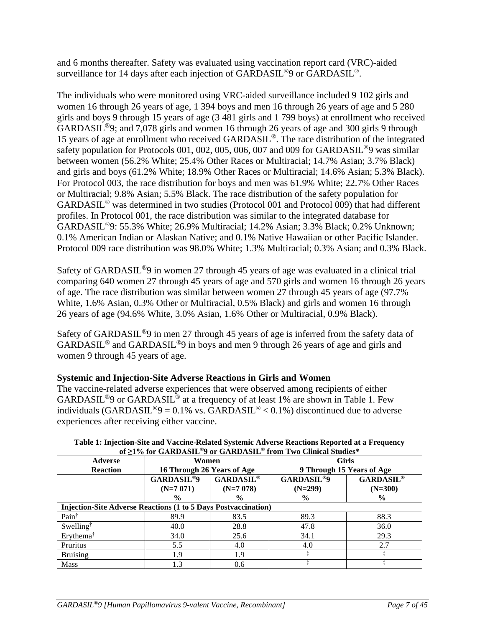and 6 months thereafter. Safety was evaluated using vaccination report card (VRC)-aided surveillance for 14 days after each injection of  $\text{GARDASIL}^{\textcircled{\tiny{\text{B}}}}$  or  $\text{GARDASIL}^{\textcircled{\tiny{\text{B}}}}$ .

The individuals who were monitored using VRC-aided surveillance included 9 102 girls and women 16 through 26 years of age, 1 394 boys and men 16 through 26 years of age and 5 280 girls and boys 9 through 15 years of age (3 481 girls and 1 799 boys) at enrollment who received GARDASIL®9; and 7,078 girls and women 16 through 26 years of age and 300 girls 9 through 15 years of age at enrollment who received GARDASIL®. The race distribution of the integrated safety population for Protocols 001, 002, 005, 006, 007 and 009 for GARDASIL<sup>®</sup>9 was similar between women (56.2% White; 25.4% Other Races or Multiracial; 14.7% Asian; 3.7% Black) and girls and boys (61.2% White; 18.9% Other Races or Multiracial; 14.6% Asian; 5.3% Black). For Protocol 003, the race distribution for boys and men was 61.9% White; 22.7% Other Races or Multiracial; 9.8% Asian; 5.5% Black. The race distribution of the safety population for GARDASIL® was determined in two studies (Protocol 001 and Protocol 009) that had different profiles. In Protocol 001, the race distribution was similar to the integrated database for GARDASIL®9: 55.3% White; 26.9% Multiracial; 14.2% Asian; 3.3% Black; 0.2% Unknown; 0.1% American Indian or Alaskan Native; and 0.1% Native Hawaiian or other Pacific Islander. Protocol 009 race distribution was 98.0% White; 1.3% Multiracial; 0.3% Asian; and 0.3% Black.

Safety of GARDASIL*®*9 in women 27 through 45 years of age was evaluated in a clinical trial comparing 640 women 27 through 45 years of age and 570 girls and women 16 through 26 years of age. The race distribution was similar between women 27 through 45 years of age (97.7% White, 1.6% Asian, 0.3% Other or Multiracial, 0.5% Black) and girls and women 16 through 26 years of age (94.6% White, 3.0% Asian, 1.6% Other or Multiracial, 0.9% Black).

Safety of GARDASIL*®*9 in men 27 through 45 years of age is inferred from the safety data of GARDASIL*®* and GARDASIL*®*9 in boys and men 9 through 26 years of age and girls and women 9 through 45 years of age.

# **Systemic and Injection-Site Adverse Reactions in Girls and Women**

The vaccine-related adverse experiences that were observed among recipients of either GARDASIL<sup>®</sup>9 or GARDASIL<sup>®</sup> at a frequency of at least 1% are shown in Table 1. Few individuals (GARDASIL<sup>®</sup>9 = 0.1% vs. GARDASIL<sup>®</sup> < 0.1%) discontinued due to adverse experiences after receiving either vaccine.

|                                                                       | <u>VEL 70 IVE ULANDABLE 7 VE ULANDABLE TIUMET WU CHINGH BINNING</u><br><b>Girls</b><br><b>Adverse</b><br>Women |                             |                              |                  |  |  |  |
|-----------------------------------------------------------------------|----------------------------------------------------------------------------------------------------------------|-----------------------------|------------------------------|------------------|--|--|--|
|                                                                       |                                                                                                                |                             |                              |                  |  |  |  |
| <b>Reaction</b>                                                       | 16 Through 26 Years of Age                                                                                     |                             | 9 Through 15 Years of Age    |                  |  |  |  |
|                                                                       | <b>GARDASIL<sup>®9</sup></b>                                                                                   | <b>GARDASIL<sup>®</sup></b> | <b>GARDASIL<sup>®9</sup></b> | <b>GARDASIL®</b> |  |  |  |
|                                                                       | $(N=7 071)$                                                                                                    | $(N=7078)$                  | $(N=299)$                    | $(N=300)$        |  |  |  |
|                                                                       | $\frac{0}{0}$                                                                                                  | $\frac{6}{9}$               | $\frac{0}{0}$                | $\frac{6}{9}$    |  |  |  |
| <b>Injection-Site Adverse Reactions (1 to 5 Days Postvaccination)</b> |                                                                                                                |                             |                              |                  |  |  |  |
| Pain <sup>†</sup>                                                     | 89.9                                                                                                           | 83.5                        | 89.3                         | 88.3             |  |  |  |
| Swelling <sup>†</sup>                                                 | 40.0                                                                                                           | 28.8                        | 47.8                         | 36.0             |  |  |  |
| Erythema <sup>†</sup>                                                 | 34.0                                                                                                           | 25.6                        | 34.1                         | 29.3             |  |  |  |
| Pruritus                                                              | 5.5                                                                                                            | 4.0                         | 4.0                          | 2.7              |  |  |  |
| <b>Bruising</b>                                                       | 1.9                                                                                                            | 1.9                         |                              |                  |  |  |  |
| <b>Mass</b>                                                           | 1.3                                                                                                            | 0.6                         |                              |                  |  |  |  |

**Table 1: Injection-Site and Vaccine-Related Systemic Adverse Reactions Reported at a Frequency of ≥1% for GARDASIL®9 or GARDASIL® from Two Clinical Studies\***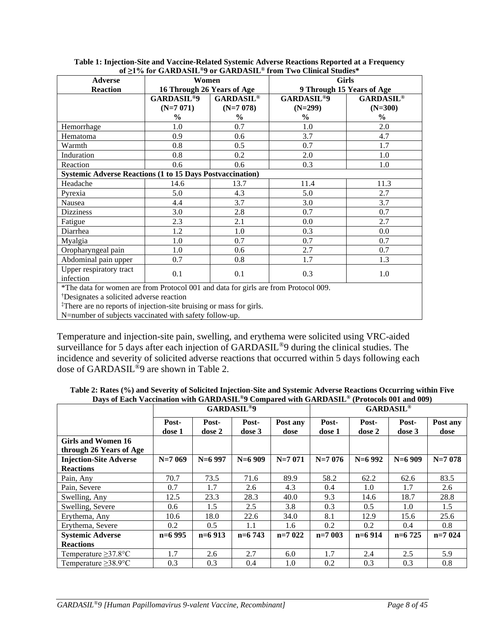| <u>VEZI 70 IVE GANDASILE 2 VE GANDASILE TEVILE EWO CILINGI SUGUES</u><br><b>Girls</b><br><b>Adverse</b><br>Women |                              |                  |                              |                  |  |
|------------------------------------------------------------------------------------------------------------------|------------------------------|------------------|------------------------------|------------------|--|
|                                                                                                                  | 16 Through 26 Years of Age   |                  |                              |                  |  |
| <b>Reaction</b>                                                                                                  |                              |                  | 9 Through 15 Years of Age    |                  |  |
|                                                                                                                  | <b>GARDASIL<sup>®9</sup></b> | <b>GARDASIL®</b> | <b>GARDASIL<sup>®9</sup></b> | <b>GARDASIL®</b> |  |
|                                                                                                                  | $(N=7 071)$                  | $(N=7078)$       | $(N=299)$                    | $(N=300)$        |  |
|                                                                                                                  | $\frac{0}{0}$                | $\%$             | $\%$                         | $\frac{0}{0}$    |  |
| Hemorrhage                                                                                                       | 1.0                          | 0.7              | 1.0                          | 2.0              |  |
| Hematoma                                                                                                         | 0.9                          | 0.6              | 3.7                          | 4.7              |  |
| Warmth                                                                                                           | 0.8                          | 0.5              | 0.7                          | 1.7              |  |
| Induration                                                                                                       | 0.8                          | 0.2              | 2.0                          | 1.0              |  |
| Reaction                                                                                                         | 0.6                          | 0.6              | 0.3                          | 1.0              |  |
| <b>Systemic Adverse Reactions (1 to 15 Days Postvaccination)</b>                                                 |                              |                  |                              |                  |  |
| Headache                                                                                                         | 14.6                         | 13.7             | 11.4                         | 11.3             |  |
| Pyrexia                                                                                                          | 5.0                          | 4.3              | 5.0                          | 2.7              |  |
| Nausea                                                                                                           | 4.4                          | 3.7              | 3.0                          | 3.7              |  |
| <b>Dizziness</b>                                                                                                 | 3.0                          | 2.8              | 0.7                          | 0.7              |  |
| Fatigue                                                                                                          | 2.3                          | 2.1              | 0.0                          | 2.7              |  |
| Diarrhea                                                                                                         | 1.2                          | 1.0              | 0.3                          | 0.0              |  |
| Myalgia                                                                                                          | 1.0                          | 0.7              | 0.7                          | 0.7              |  |
| Oropharyngeal pain                                                                                               | 1.0                          | 0.6              | 2.7                          | 0.7              |  |
| Abdominal pain upper                                                                                             | 0.7                          | 0.8              | 1.7                          | 1.3              |  |
| Upper respiratory tract<br>infection                                                                             | 0.1                          | 0.1              | 0.3                          | 1.0              |  |
| *The data for women are from Protocol 001 and data for girls are from Protocol 009.                              |                              |                  |                              |                  |  |
| <sup>†</sup> Designates a solicited adverse reaction                                                             |                              |                  |                              |                  |  |
| <sup>‡</sup> There are no reports of injection-site bruising or mass for girls.                                  |                              |                  |                              |                  |  |

**Table 1: Injection-Site and Vaccine-Related Systemic Adverse Reactions Reported at a Frequency of ≥1% for GARDASIL®9 or GARDASIL® from Two Clinical Studies\***

‡There are no reports of injection-site bruising or mass for girls.

N=number of subjects vaccinated with safety follow-up.

Temperature and injection-site pain, swelling, and erythema were solicited using VRC-aided surveillance for 5 days after each injection of GARDASIL<sup>®</sup>9 during the clinical studies. The incidence and severity of solicited adverse reactions that occurred within 5 days following each dose of GARDASIL<sup>®</sup>9 are shown in Table 2.

**Table 2: Rates (%) and Severity of Solicited Injection-Site and Systemic Adverse Reactions Occurring within Five Days of Each Vaccination with GARDASIL®9 Compared with GARDASIL® (Protocols 001 and 009)**

|                               | <b>GARDASIL<sup>®9</sup></b> |                 |                 | <b>GARDASIL®</b> |                 |                 |                 |                  |
|-------------------------------|------------------------------|-----------------|-----------------|------------------|-----------------|-----------------|-----------------|------------------|
|                               | Post-<br>dose 1              | Post-<br>dose 2 | Post-<br>dose 3 | Post any<br>dose | Post-<br>dose 1 | Post-<br>dose 2 | Post-<br>dose 3 | Post any<br>dose |
| Girls and Women 16            |                              |                 |                 |                  |                 |                 |                 |                  |
| through 26 Years of Age       |                              |                 |                 |                  |                 |                 |                 |                  |
| <b>Injection-Site Adverse</b> | $N=7069$                     | $N=6$ 997       | $N=6909$        | $N=7071$         | $N=7076$        | $N=6992$        | $N=6909$        | $N=7078$         |
| <b>Reactions</b>              |                              |                 |                 |                  |                 |                 |                 |                  |
| Pain, Any                     | 70.7                         | 73.5            | 71.6            | 89.9             | 58.2            | 62.2            | 62.6            | 83.5             |
| Pain, Severe                  | 0.7                          | 1.7             | 2.6             | 4.3              | 0.4             | 1.0             | 1.7             | 2.6              |
| Swelling, Any                 | 12.5                         | 23.3            | 28.3            | 40.0             | 9.3             | 14.6            | 18.7            | 28.8             |
| Swelling, Severe              | 0.6                          | 1.5             | 2.5             | 3.8              | 0.3             | 0.5             | 1.0             | 1.5              |
| Erythema, Any                 | 10.6                         | 18.0            | 22.6            | 34.0             | 8.1             | 12.9            | 15.6            | 25.6             |
| Erythema, Severe              | 0.2                          | 0.5             | 1.1             | 1.6              | 0.2             | 0.2             | 0.4             | 0.8              |
| <b>Systemic Adverse</b>       | $n=6995$                     | $n=6913$        | $n=6743$        | $n=7022$         | $n=7$ 003       | $n=6914$        | $n=6725$        | $n=7024$         |
| <b>Reactions</b>              |                              |                 |                 |                  |                 |                 |                 |                  |
| Temperature $\geq$ 37.8°C     | 1.7                          | 2.6             | 2.7             | 6.0              | 1.7             | 2.4             | 2.5             | 5.9              |
| Temperature $\geq$ 38.9°C     | 0.3                          | 0.3             | 0.4             | 1.0              | 0.2             | 0.3             | 0.3             | 0.8              |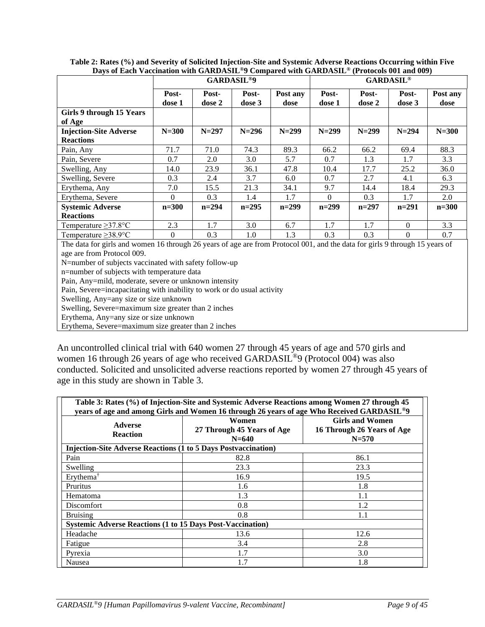| $\mathbf{L}_{\mathbf{u},\mathbf{v}}$ of BRCh (Recentledge) with orthogonal $\theta$ compared with orthogonal                                                                                                       | <b>GARDASIL<sup>®9</sup></b> |                 |                 | <b>GARDASIL®</b> |                 |                 |                 |                  |
|--------------------------------------------------------------------------------------------------------------------------------------------------------------------------------------------------------------------|------------------------------|-----------------|-----------------|------------------|-----------------|-----------------|-----------------|------------------|
|                                                                                                                                                                                                                    | Post-<br>dose 1              | Post-<br>dose 2 | Post-<br>dose 3 | Post any<br>dose | Post-<br>dose 1 | Post-<br>dose 2 | Post-<br>dose 3 | Post any<br>dose |
| Girls 9 through 15 Years<br>of Age                                                                                                                                                                                 |                              |                 |                 |                  |                 |                 |                 |                  |
| <b>Injection-Site Adverse</b><br><b>Reactions</b>                                                                                                                                                                  | $N=300$                      | $N = 297$       | $N = 296$       | $N = 299$        | $N = 299$       | $N = 299$       | $N = 294$       | $N = 300$        |
| Pain, Any                                                                                                                                                                                                          | 71.7                         | 71.0            | 74.3            | 89.3             | 66.2            | 66.2            | 69.4            | 88.3             |
| Pain, Severe                                                                                                                                                                                                       | 0.7                          | 2.0             | 3.0             | 5.7              | 0.7             | 1.3             | 1.7             | 3.3              |
| Swelling, Any                                                                                                                                                                                                      | 14.0                         | 23.9            | 36.1            | 47.8             | 10.4            | 17.7            | 25.2            | 36.0             |
| Swelling, Severe                                                                                                                                                                                                   | 0.3                          | 2.4             | 3.7             | 6.0              | 0.7             | 2.7             | 4.1             | 6.3              |
| Erythema, Any                                                                                                                                                                                                      | 7.0                          | 15.5            | 21.3            | 34.1             | 9.7             | 14.4            | 18.4            | 29.3             |
| Erythema, Severe                                                                                                                                                                                                   | $\Omega$                     | 0.3             | 1.4             | 1.7              | $\Omega$        | 0.3             | 1.7             | 2.0              |
| <b>Systemic Adverse</b>                                                                                                                                                                                            | $n = 300$                    | $n=294$         | $n=295$         | $n=299$          | $n=299$         | $n=297$         | $n=291$         | $n = 300$        |
| <b>Reactions</b>                                                                                                                                                                                                   |                              |                 |                 |                  |                 |                 |                 |                  |
| Temperature $\geq$ 37.8°C                                                                                                                                                                                          | 2.3                          | 1.7             | 3.0             | 6.7              | 1.7             | 1.7             | $\Omega$        | 3.3              |
| Temperature $\geq$ 38.9°C                                                                                                                                                                                          | $\Omega$                     | 0.3             | 1.0             | 1.3              | 0.3             | 0.3             | $\Omega$        | 0.7              |
| The data for girls and women 16 through 26 years of age are from Protocol 001, and the data for girls 9 through 15 years of<br>age are from Protocol 009.<br>N=number of subjects vaccinated with safety follow-up |                              |                 |                 |                  |                 |                 |                 |                  |

**Table 2: Rates (%) and Severity of Solicited Injection-Site and Systemic Adverse Reactions Occurring within Five Days of Each Vaccination with GARDASIL®9 Compared with GARDASIL® (Protocols 001 and 009)**

n=number of subjects with temperature data

Pain, Any=mild, moderate, severe or unknown intensity

Pain, Severe=incapacitating with inability to work or do usual activity

Swelling, Any=any size or size unknown

Swelling, Severe=maximum size greater than 2 inches

Erythema, Any=any size or size unknown

Erythema, Severe=maximum size greater than 2 inches

An uncontrolled clinical trial with 640 women 27 through 45 years of age and 570 girls and women 16 through 26 years of age who received GARDASIL<sup>®9</sup> (Protocol 004) was also conducted. Solicited and unsolicited adverse reactions reported by women 27 through 45 years of age in this study are shown in Table 3.

| Table 3: Rates (%) of Injection-Site and Systemic Adverse Reactions among Women 27 through 45<br>years of age and among Girls and Women 16 through 26 years of age Who Received GARDASIL <sup>®9</sup> |                                                                       |                                                                   |  |  |  |
|--------------------------------------------------------------------------------------------------------------------------------------------------------------------------------------------------------|-----------------------------------------------------------------------|-------------------------------------------------------------------|--|--|--|
| <b>Adverse</b><br><b>Reaction</b>                                                                                                                                                                      | Women<br>27 Through 45 Years of Age<br>$N = 640$                      | <b>Girls and Women</b><br>16 Through 26 Years of Age<br>$N = 570$ |  |  |  |
|                                                                                                                                                                                                        | <b>Injection-Site Adverse Reactions (1 to 5 Days Postvaccination)</b> |                                                                   |  |  |  |
| Pain                                                                                                                                                                                                   | 82.8                                                                  | 86.1                                                              |  |  |  |
| Swelling                                                                                                                                                                                               | 23.3                                                                  | 23.3                                                              |  |  |  |
| Erythema <sup>†</sup>                                                                                                                                                                                  | 16.9                                                                  | 19.5                                                              |  |  |  |
| Pruritus                                                                                                                                                                                               | 1.6                                                                   | 1.8                                                               |  |  |  |
| Hematoma                                                                                                                                                                                               | 1.3                                                                   | 1.1                                                               |  |  |  |
| Discomfort                                                                                                                                                                                             | 0.8                                                                   | 1.2                                                               |  |  |  |
| <b>Bruising</b>                                                                                                                                                                                        | 0.8                                                                   | 1.1                                                               |  |  |  |
| <b>Systemic Adverse Reactions (1 to 15 Days Post-Vaccination)</b>                                                                                                                                      |                                                                       |                                                                   |  |  |  |
| Headache                                                                                                                                                                                               | 13.6                                                                  | 12.6                                                              |  |  |  |
| Fatigue                                                                                                                                                                                                | 3.4                                                                   | 2.8                                                               |  |  |  |
| Pyrexia                                                                                                                                                                                                | 1.7                                                                   | 3.0                                                               |  |  |  |
| Nausea                                                                                                                                                                                                 | 1.7                                                                   | 1.8                                                               |  |  |  |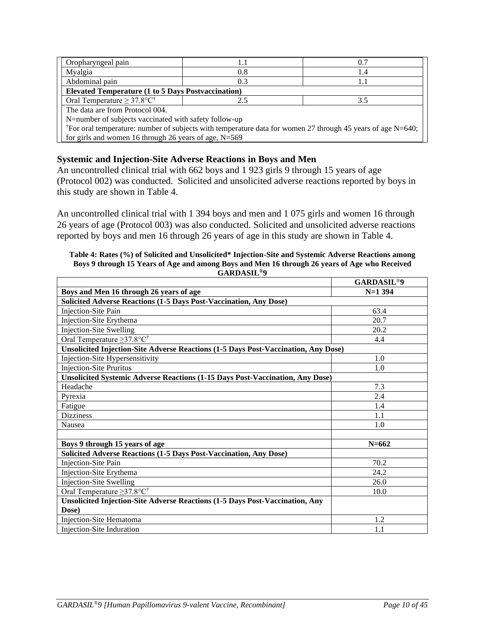| Oropharyngeal pain                                                                                                      |                                                           | 0.7 |  |  |  |  |
|-------------------------------------------------------------------------------------------------------------------------|-----------------------------------------------------------|-----|--|--|--|--|
| Myalgia                                                                                                                 | 0.8                                                       | 1.4 |  |  |  |  |
| Abdominal pain                                                                                                          | 0.3                                                       | 1.1 |  |  |  |  |
|                                                                                                                         | <b>Elevated Temperature (1 to 5 Days Postvaccination)</b> |     |  |  |  |  |
| Oral Temperature $\geq 37.8$ °C <sup>†</sup>                                                                            |                                                           | 3.5 |  |  |  |  |
| The data are from Protocol 004.                                                                                         |                                                           |     |  |  |  |  |
| N=number of subjects vaccinated with safety follow-up                                                                   |                                                           |     |  |  |  |  |
| <sup>†</sup> For oral temperature: number of subjects with temperature data for women 27 through 45 years of age N=640; |                                                           |     |  |  |  |  |
| for girls and women 16 through 26 years of age, $N=569$                                                                 |                                                           |     |  |  |  |  |

# **Systemic and Injection-Site Adverse Reactions in Boys and Men**

An uncontrolled clinical trial with 662 boys and 1 923 girls 9 through 15 years of age (Protocol 002) was conducted. Solicited and unsolicited adverse reactions reported by boys in this study are shown in Table 4.

An uncontrolled clinical trial with 1 394 boys and men and 1 075 girls and women 16 through 26 years of age (Protocol 003) was also conducted. Solicited and unsolicited adverse reactions reported by boys and men 16 through 26 years of age in this study are shown in Table 4.

### **Table 4: Rates (%) of Solicited and Unsolicited\* Injection-Site and Systemic Adverse Reactions among Boys 9 through 15 Years of Age and among Boys and Men 16 through 26 years of Age who Received GARDASIL®9**

|                                                                                      | <b>GARDASIL<sup>®9</sup></b> |
|--------------------------------------------------------------------------------------|------------------------------|
| Boys and Men 16 through 26 years of age                                              | $N=1$ 394                    |
| Solicited Adverse Reactions (1-5 Days Post-Vaccination, Any Dose)                    |                              |
| Injection-Site Pain                                                                  | 63.4                         |
| Injection-Site Erythema                                                              | 20.7                         |
| <b>Injection-Site Swelling</b>                                                       | 20.2                         |
| Oral Temperature $\geq$ 37.8°C <sup>†</sup>                                          | 4.4                          |
| Unsolicited Injection-Site Adverse Reactions (1-5 Days Post-Vaccination, Any Dose)   |                              |
| Injection-Site Hypersensitivity                                                      | 1.0                          |
| <b>Injection-Site Pruritus</b>                                                       | 1.0                          |
| <b>Unsolicited Systemic Adverse Reactions (1-15 Days Post-Vaccination, Any Dose)</b> |                              |
| Headache                                                                             | 7.3                          |
| Pyrexia                                                                              | 2.4                          |
| Fatigue                                                                              | 1.4                          |
| <b>Dizziness</b>                                                                     | 1.1                          |
| Nausea                                                                               | 1.0                          |
|                                                                                      |                              |
| Boys 9 through 15 years of age                                                       | $N = 662$                    |
| Solicited Adverse Reactions (1-5 Days Post-Vaccination, Any Dose)                    |                              |
| <b>Injection-Site Pain</b>                                                           | 70.2                         |
| Injection-Site Erythema                                                              | 24.2                         |
| <b>Injection-Site Swelling</b>                                                       | 26.0                         |
| Oral Temperature $\geq$ 37.8°C <sup>†</sup>                                          | 10.0                         |
| Unsolicited Injection-Site Adverse Reactions (1-5 Days Post-Vaccination, Any         |                              |
| Dose)                                                                                |                              |
| <b>Injection-Site Hematoma</b>                                                       | 1.2                          |
| Injection-Site Induration                                                            | 1.1                          |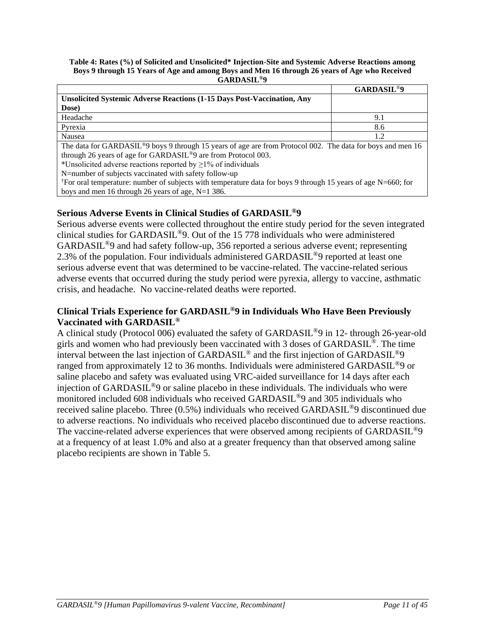### **Table 4: Rates (%) of Solicited and Unsolicited\* Injection-Site and Systemic Adverse Reactions among Boys 9 through 15 Years of Age and among Boys and Men 16 through 26 years of Age who Received GARDASIL®9**

|                                                                                                                         | <b>GARDASIL<sup>®9</sup></b> |
|-------------------------------------------------------------------------------------------------------------------------|------------------------------|
| <b>Unsolicited Systemic Adverse Reactions (1-15 Days Post-Vaccination, Any</b>                                          |                              |
| Dose)                                                                                                                   |                              |
| Headache                                                                                                                | 9.1                          |
| Pyrexia                                                                                                                 | 8.6                          |
| Nausea                                                                                                                  | 1.2                          |
| The data for GARDASIL <sup>®</sup> 9 boys 9 through 15 years of age are from Protocol 002. The data for boys and men 16 |                              |
| through 26 years of age for GARDASIL <sup>®</sup> 9 are from Protocol 003.                                              |                              |
| *Unsolicited adverse reactions reported by $\geq$ 1% of individuals                                                     |                              |
| N=number of subjects vaccinated with safety follow-up                                                                   |                              |

†For oral temperature: number of subjects with temperature data for boys 9 through 15 years of age N=660; for boys and men 16 through 26 years of age, N=1 386.

# **Serious Adverse Events in Clinical Studies of GARDASIL®9**

Serious adverse events were collected throughout the entire study period for the seven integrated clinical studies for GARDASIL®9. Out of the 15 778 individuals who were administered GARDASIL®9 and had safety follow-up, 356 reported a serious adverse event; representing 2.3% of the population. Four individuals administered GARDASIL<sup>®</sup>9 reported at least one serious adverse event that was determined to be vaccine-related. The vaccine-related serious adverse events that occurred during the study period were pyrexia, allergy to vaccine, asthmatic crisis, and headache. No vaccine-related deaths were reported.

# **Clinical Trials Experience for GARDASIL®9 in Individuals Who Have Been Previously Vaccinated with GARDASIL®**

A clinical study (Protocol 006) evaluated the safety of GARDASIL®9 in 12- through 26-year-old girls and women who had previously been vaccinated with 3 doses of GARDASIL ®. The time interval between the last injection of GARDASIL® and the first injection of GARDASIL®9 ranged from approximately 12 to 36 months. Individuals were administered GARDASIL®9 or saline placebo and safety was evaluated using VRC-aided surveillance for 14 days after each injection of GARDASIL®9 or saline placebo in these individuals. The individuals who were monitored included 608 individuals who received GARDASIL®9 and 305 individuals who received saline placebo. Three (0.5%) individuals who received GARDASIL®9 discontinued due to adverse reactions. No individuals who received placebo discontinued due to adverse reactions. The vaccine-related adverse experiences that were observed among recipients of GARDASIL<sup>®</sup>9 at a frequency of at least 1.0% and also at a greater frequency than that observed among saline placebo recipients are shown in Table 5.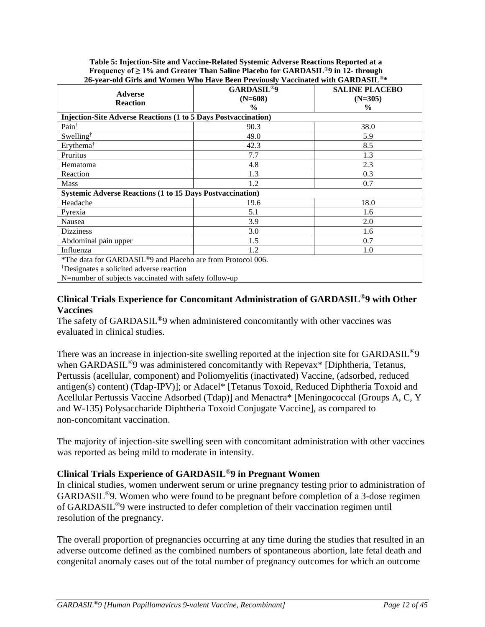| 20-year-01d On is and Women Who mave been I reviously<br><i>vacculated with GARDASHL</i> |                                           |                                    |  |  |  |  |
|------------------------------------------------------------------------------------------|-------------------------------------------|------------------------------------|--|--|--|--|
| <b>Adverse</b>                                                                           | <b>GARDASIL<sup>®9</sup></b><br>$(N=608)$ | <b>SALINE PLACEBO</b><br>$(N=305)$ |  |  |  |  |
| <b>Reaction</b>                                                                          | $\frac{6}{9}$                             | $\frac{6}{6}$                      |  |  |  |  |
| <b>Injection-Site Adverse Reactions (1 to 5 Days Postvaccination)</b>                    |                                           |                                    |  |  |  |  |
| Pain <sup>†</sup>                                                                        | 90.3                                      | 38.0                               |  |  |  |  |
| Swelling <sup>†</sup>                                                                    | 49.0                                      | 5.9                                |  |  |  |  |
| Erythema <sup>†</sup>                                                                    | 42.3                                      | 8.5                                |  |  |  |  |
| Pruritus                                                                                 | 7.7                                       | 1.3                                |  |  |  |  |
| Hematoma                                                                                 | 4.8                                       | 2.3                                |  |  |  |  |
| Reaction                                                                                 | 1.3                                       | 0.3                                |  |  |  |  |
| <b>Mass</b>                                                                              | 1.2                                       | 0.7                                |  |  |  |  |
| <b>Systemic Adverse Reactions (1 to 15 Days Postvaccination)</b>                         |                                           |                                    |  |  |  |  |
| Headache                                                                                 | 19.6                                      | 18.0                               |  |  |  |  |
| Pyrexia                                                                                  | 5.1                                       | 1.6                                |  |  |  |  |
| Nausea                                                                                   | 3.9                                       | 2.0                                |  |  |  |  |
| <b>Dizziness</b>                                                                         | 3.0                                       | 1.6                                |  |  |  |  |
| Abdominal pain upper                                                                     | 1.5                                       | 0.7                                |  |  |  |  |
| Influenza                                                                                | 1.2                                       | 1.0                                |  |  |  |  |
| *The data for GARDASIL®9 and Placebo are from Protocol 006.                              |                                           |                                    |  |  |  |  |
| Designates a solicited adverse reaction                                                  |                                           |                                    |  |  |  |  |

**Table 5: Injection-Site and Vaccine-Related Systemic Adverse Reactions Reported at a Frequency of ≥ 1% and Greater Than Saline Placebo for GARDASIL®9 in 12- through 26-year-old Girls and Women Who Have Been Previously Vaccinated with GARDASIL®\***

N=number of subjects vaccinated with safety follow-up

# **Clinical Trials Experience for Concomitant Administration of GARDASIL***®***9 with Other Vaccines**

The safety of GARDASIL<sup>®</sup>9 when administered concomitantly with other vaccines was evaluated in clinical studies.

There was an increase in injection-site swelling reported at the injection site for GARDASIL<sup>®</sup>9 when GARDASIL<sup>®</sup>9 was administered concomitantly with Repevax<sup>\*</sup> [Diphtheria, Tetanus, Pertussis (acellular, component) and Poliomyelitis (inactivated) Vaccine, (adsorbed, reduced antigen(s) content) (Tdap-IPV)]; or Adacel\* [Tetanus Toxoid, Reduced Diphtheria Toxoid and Acellular Pertussis Vaccine Adsorbed (Tdap)] and Menactra\* [Meningococcal (Groups A, C, Y and W-135) Polysaccharide Diphtheria Toxoid Conjugate Vaccine], as compared to non-concomitant vaccination.

The majority of injection-site swelling seen with concomitant administration with other vaccines was reported as being mild to moderate in intensity.

# **Clinical Trials Experience of GARDASIL***®***9 in Pregnant Women**

In clinical studies, women underwent serum or urine pregnancy testing prior to administration of GARDASIL®9. Women who were found to be pregnant before completion of a 3-dose regimen of GARDASIL®9 were instructed to defer completion of their vaccination regimen until resolution of the pregnancy.

The overall proportion of pregnancies occurring at any time during the studies that resulted in an adverse outcome defined as the combined numbers of spontaneous abortion, late fetal death and congenital anomaly cases out of the total number of pregnancy outcomes for which an outcome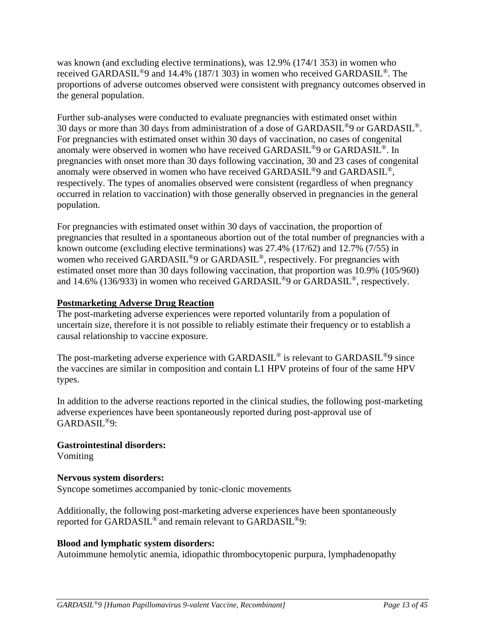was known (and excluding elective terminations), was 12.9% (174/1 353) in women who received GARDASIL®9 and 14.4% (187/1 303) in women who received GARDASIL®. The proportions of adverse outcomes observed were consistent with pregnancy outcomes observed in the general population.

Further sub-analyses were conducted to evaluate pregnancies with estimated onset within 30 days or more than 30 days from administration of a dose of GARDASIL®9 or GARDASIL®. For pregnancies with estimated onset within 30 days of vaccination, no cases of congenital anomaly were observed in women who have received GARDASIL<sup>®</sup>9 or GARDASIL<sup>®</sup>. In pregnancies with onset more than 30 days following vaccination, 30 and 23 cases of congenital anomaly were observed in women who have received GARDASIL®9 and GARDASIL®, respectively. The types of anomalies observed were consistent (regardless of when pregnancy occurred in relation to vaccination) with those generally observed in pregnancies in the general population.

For pregnancies with estimated onset within 30 days of vaccination, the proportion of pregnancies that resulted in a spontaneous abortion out of the total number of pregnancies with a known outcome (excluding elective terminations) was 27.4% (17/62) and 12.7% (7/55) in women who received GARDASIL<sup>®</sup>9 or GARDASIL<sup>®</sup>, respectively. For pregnancies with estimated onset more than 30 days following vaccination, that proportion was 10.9% (105/960) and 14.6% (136/933) in women who received GARDASIL<sup>®</sup>9 or GARDASIL<sup>®</sup>, respectively.

# **Postmarketing Adverse Drug Reaction**

The post-marketing adverse experiences were reported voluntarily from a population of uncertain size, therefore it is not possible to reliably estimate their frequency or to establish a causal relationship to vaccine exposure.

The post-marketing adverse experience with GARDASIL<sup>®</sup> is relevant to GARDASIL<sup>®</sup>9 since the vaccines are similar in composition and contain L1 HPV proteins of four of the same HPV types.

In addition to the adverse reactions reported in the clinical studies, the following post-marketing adverse experiences have been spontaneously reported during post-approval use of GARDASIL®9:

### **Gastrointestinal disorders:** Vomiting

# **Nervous system disorders:**

Syncope sometimes accompanied by tonic-clonic movements

Additionally, the following post-marketing adverse experiences have been spontaneously reported for GARDASIL® and remain relevant to GARDASIL®9:

# **Blood and lymphatic system disorders:**

Autoimmune hemolytic anemia, idiopathic thrombocytopenic purpura, lymphadenopathy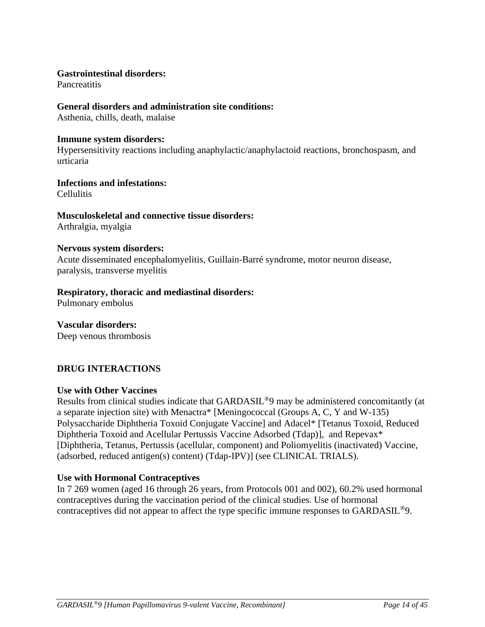## **Gastrointestinal disorders:**

**Pancreatitis** 

### **General disorders and administration site conditions:**

Asthenia, chills, death, malaise

### **Immune system disorders:**

Hypersensitivity reactions including anaphylactic/anaphylactoid reactions, bronchospasm, and urticaria

## **Infections and infestations:**

Cellulitis

### **Musculoskeletal and connective tissue disorders:**  Arthralgia, myalgia

### **Nervous system disorders:**

Acute disseminated encephalomyelitis, Guillain-Barré syndrome, motor neuron disease, paralysis, transverse myelitis

## **Respiratory, thoracic and mediastinal disorders:**

Pulmonary embolus

### **Vascular disorders:** Deep venous thrombosis

# **DRUG INTERACTIONS**

### **Use with Other Vaccines**

Results from clinical studies indicate that GARDASIL®9 may be administered concomitantly (at a separate injection site) with Menactra\* [Meningococcal (Groups A, C, Y and W-135) Polysaccharide Diphtheria Toxoid Conjugate Vaccine] and Adacel\* [Tetanus Toxoid, Reduced Diphtheria Toxoid and Acellular Pertussis Vaccine Adsorbed (Tdap)], and Repevax\* [Diphtheria, Tetanus, Pertussis (acellular, component) and Poliomyelitis (inactivated) Vaccine, (adsorbed, reduced antigen(s) content) (Tdap-IPV)] (see CLINICAL TRIALS).

# **Use with Hormonal Contraceptives**

In 7 269 women (aged 16 through 26 years, from Protocols 001 and 002), 60.2% used hormonal contraceptives during the vaccination period of the clinical studies. Use of hormonal contraceptives did not appear to affect the type specific immune responses to GARDASIL®9.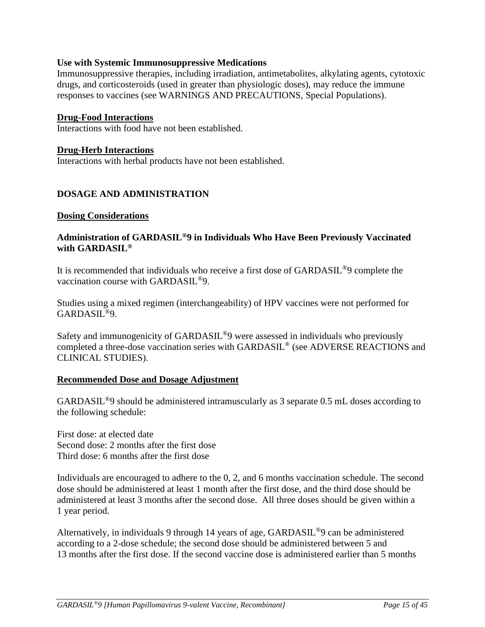## **Use with Systemic Immunosuppressive Medications**

Immunosuppressive therapies, including irradiation, antimetabolites, alkylating agents, cytotoxic drugs, and corticosteroids (used in greater than physiologic doses), may reduce the immune responses to vaccines (see WARNINGS AND PRECAUTIONS, Special Populations).

### **Drug-Food Interactions**

Interactions with food have not been established.

### **Drug-Herb Interactions**

Interactions with herbal products have not been established.

## **DOSAGE AND ADMINISTRATION**

### **Dosing Considerations**

### **Administration of GARDASIL®9 in Individuals Who Have Been Previously Vaccinated with GARDASIL®**

It is recommended that individuals who receive a first dose of GARDASIL®9 complete the vaccination course with GARDASIL®9.

Studies using a mixed regimen (interchangeability) of HPV vaccines were not performed for GARDASIL®9.

Safety and immunogenicity of GARDASIL®9 were assessed in individuals who previously completed a three-dose vaccination series with GARDASIL® (see ADVERSE REACTIONS and CLINICAL STUDIES).

### **Recommended Dose and Dosage Adjustment**

GARDASIL®9 should be administered intramuscularly as 3 separate 0.5 mL doses according to the following schedule:

First dose: at elected date Second dose: 2 months after the first dose Third dose: 6 months after the first dose

Individuals are encouraged to adhere to the 0, 2, and 6 months vaccination schedule. The second dose should be administered at least 1 month after the first dose, and the third dose should be administered at least 3 months after the second dose. All three doses should be given within a 1 year period.

Alternatively, in individuals 9 through 14 years of age, GARDASIL®9 can be administered according to a 2-dose schedule; the second dose should be administered between 5 and 13 months after the first dose. If the second vaccine dose is administered earlier than 5 months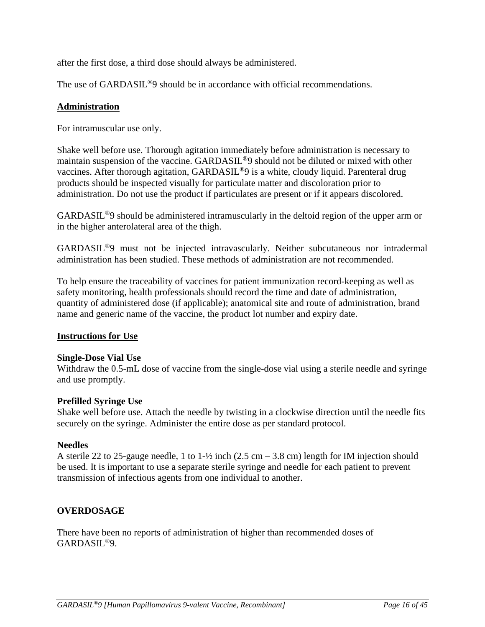after the first dose, a third dose should always be administered.

The use of GARDASIL<sup>®</sup>9 should be in accordance with official recommendations.

# **Administration**

For intramuscular use only.

Shake well before use. Thorough agitation immediately before administration is necessary to maintain suspension of the vaccine. GARDASIL®9 should not be diluted or mixed with other vaccines. After thorough agitation, GARDASIL<sup>®</sup>9 is a white, cloudy liquid. Parenteral drug products should be inspected visually for particulate matter and discoloration prior to administration. Do not use the product if particulates are present or if it appears discolored.

GARDASIL®9 should be administered intramuscularly in the deltoid region of the upper arm or in the higher anterolateral area of the thigh.

GARDASIL®9 must not be injected intravascularly. Neither subcutaneous nor intradermal administration has been studied. These methods of administration are not recommended.

To help ensure the traceability of vaccines for patient immunization record-keeping as well as safety monitoring, health professionals should record the time and date of administration, quantity of administered dose (if applicable); anatomical site and route of administration, brand name and generic name of the vaccine, the product lot number and expiry date.

# **Instructions for Use**

# **Single-Dose Vial Use**

Withdraw the 0.5-mL dose of vaccine from the single-dose vial using a sterile needle and syringe and use promptly.

# **Prefilled Syringe Use**

Shake well before use. Attach the needle by twisting in a clockwise direction until the needle fits securely on the syringe. Administer the entire dose as per standard protocol.

# **Needles**

A sterile 22 to 25-gauge needle, 1 to 1- $\frac{1}{2}$  inch (2.5 cm – 3.8 cm) length for IM injection should be used. It is important to use a separate sterile syringe and needle for each patient to prevent transmission of infectious agents from one individual to another.

# **OVERDOSAGE**

There have been no reports of administration of higher than recommended doses of GARDASIL®9.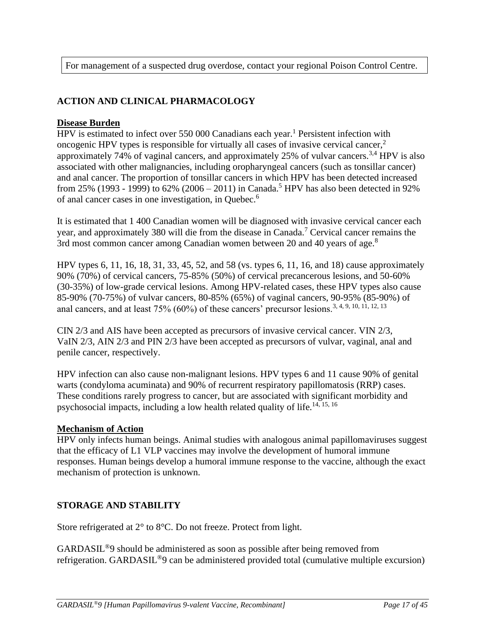For management of a suspected drug overdose, contact your regional Poison Control Centre.

# **ACTION AND CLINICAL PHARMACOLOGY**

### **Disease Burden**

HPV is estimated to infect over 550 000 Canadians each year.<sup>1</sup> Persistent infection with oncogenic HPV types is responsible for virtually all cases of invasive cervical cancer, $<sup>2</sup>$ </sup> approximately 74% of vaginal cancers, and approximately 25% of vulvar cancers.<sup>3,4</sup> HPV is also associated with other malignancies, including oropharyngeal cancers (such as tonsillar cancer) and anal cancer. The proportion of tonsillar cancers in which HPV has been detected increased from 25% (1993 - 1999) to 62% (2006 – 2011) in Canada.<sup>5</sup> HPV has also been detected in 92% of anal cancer cases in one investigation, in Quebec.<sup>6</sup>

It is estimated that 1 400 Canadian women will be diagnosed with invasive cervical cancer each year, and approximately 380 will die from the disease in Canada.<sup>7</sup> Cervical cancer remains the 3rd most common cancer among Canadian women between 20 and 40 years of age.<sup>8</sup>

HPV types 6, 11, 16, 18, 31, 33, 45, 52, and 58 (vs. types 6, 11, 16, and 18) cause approximately 90% (70%) of cervical cancers, 75-85% (50%) of cervical precancerous lesions, and 50-60% (30-35%) of low-grade cervical lesions. Among HPV-related cases, these HPV types also cause 85-90% (70-75%) of vulvar cancers, 80-85% (65%) of vaginal cancers, 90-95% (85-90%) of anal cancers, and at least  $75\%$  (60%) of these cancers' precursor lesions.<sup>3, 4, 9, 10, 11, 12, 13</sup>

CIN 2/3 and AIS have been accepted as precursors of invasive cervical cancer. VIN 2/3, VaIN 2/3, AIN 2/3 and PIN 2/3 have been accepted as precursors of vulvar, vaginal, anal and penile cancer, respectively.

HPV infection can also cause non-malignant lesions. HPV types 6 and 11 cause 90% of genital warts (condyloma acuminata) and 90% of recurrent respiratory papillomatosis (RRP) cases. These conditions rarely progress to cancer, but are associated with significant morbidity and psychosocial impacts, including a low health related quality of life.14, 15, 16

# **Mechanism of Action**

HPV only infects human beings. Animal studies with analogous animal papillomaviruses suggest that the efficacy of L1 VLP vaccines may involve the development of humoral immune responses. Human beings develop a humoral immune response to the vaccine, although the exact mechanism of protection is unknown.

# **STORAGE AND STABILITY**

Store refrigerated at 2° to 8°C. Do not freeze. Protect from light.

GARDASIL®9 should be administered as soon as possible after being removed from refrigeration. GARDASIL®9 can be administered provided total (cumulative multiple excursion)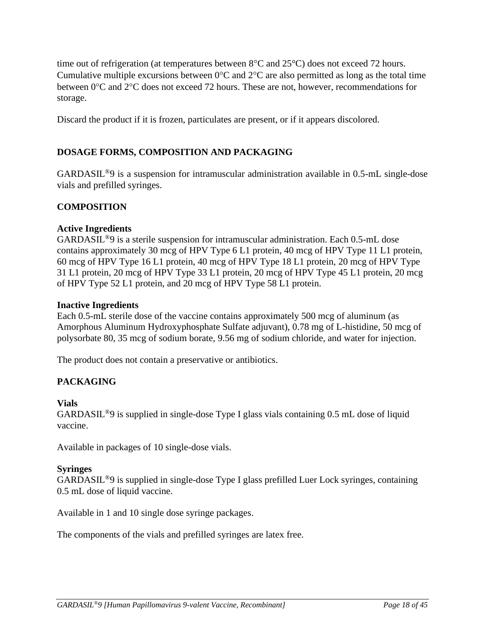time out of refrigeration (at temperatures between  $8^{\circ}$ C and  $25^{\circ}$ C) does not exceed 72 hours. Cumulative multiple excursions between  $0^{\circ}$ C and  $2^{\circ}$ C are also permitted as long as the total time between  $0^{\circ}$ C and  $2^{\circ}$ C does not exceed 72 hours. These are not, however, recommendations for storage.

Discard the product if it is frozen, particulates are present, or if it appears discolored.

# **DOSAGE FORMS, COMPOSITION AND PACKAGING**

GARDASIL®9 is a suspension for intramuscular administration available in 0.5-mL single-dose vials and prefilled syringes.

# **COMPOSITION**

### **Active Ingredients**

GARDASIL®9 is a sterile suspension for intramuscular administration. Each 0.5-mL dose contains approximately 30 mcg of HPV Type 6 L1 protein, 40 mcg of HPV Type 11 L1 protein, 60 mcg of HPV Type 16 L1 protein, 40 mcg of HPV Type 18 L1 protein, 20 mcg of HPV Type 31 L1 protein, 20 mcg of HPV Type 33 L1 protein, 20 mcg of HPV Type 45 L1 protein, 20 mcg of HPV Type 52 L1 protein, and 20 mcg of HPV Type 58 L1 protein.

### **Inactive Ingredients**

Each 0.5-mL sterile dose of the vaccine contains approximately 500 mcg of aluminum (as Amorphous Aluminum Hydroxyphosphate Sulfate adjuvant), 0.78 mg of L-histidine, 50 mcg of polysorbate 80, 35 mcg of sodium borate, 9.56 mg of sodium chloride, and water for injection.

The product does not contain a preservative or antibiotics.

# **PACKAGING**

### **Vials**

GARDASIL®9 is supplied in single-dose Type I glass vials containing 0.5 mL dose of liquid vaccine.

Available in packages of 10 single-dose vials.

### **Syringes**

GARDASIL®9 is supplied in single-dose Type I glass prefilled Luer Lock syringes, containing 0.5 mL dose of liquid vaccine.

Available in 1 and 10 single dose syringe packages.

The components of the vials and prefilled syringes are latex free.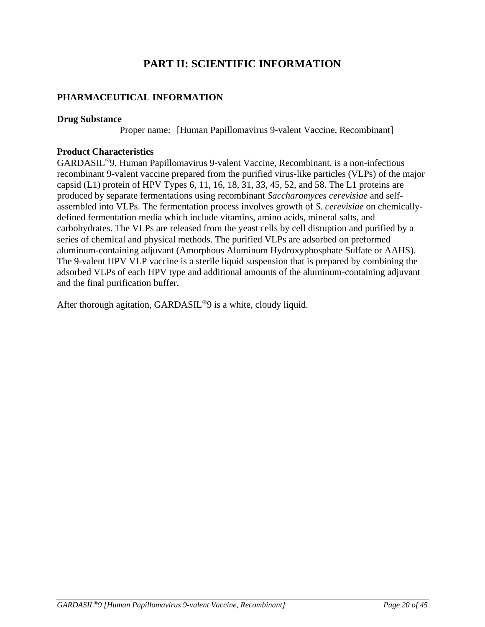# **PART II: SCIENTIFIC INFORMATION**

# **PHARMACEUTICAL INFORMATION**

### **Drug Substance**

Proper name: [Human Papillomavirus 9-valent Vaccine, Recombinant]

## **Product Characteristics**

GARDASIL®9, Human Papillomavirus 9-valent Vaccine, Recombinant, is a non-infectious recombinant 9-valent vaccine prepared from the purified virus-like particles (VLPs) of the major capsid  $(L1)$  protein of HPV Types 6, 11, 16, 18, 31, 33, 45, 52, and 58. The L1 proteins are produced by separate fermentations using recombinant *Saccharomyces cerevisiae* and selfassembled into VLPs. The fermentation process involves growth of *S. cerevisiae* on chemicallydefined fermentation media which include vitamins, amino acids, mineral salts, and carbohydrates. The VLPs are released from the yeast cells by cell disruption and purified by a series of chemical and physical methods. The purified VLPs are adsorbed on preformed aluminum-containing adjuvant (Amorphous Aluminum Hydroxyphosphate Sulfate or AAHS). The 9-valent HPV VLP vaccine is a sterile liquid suspension that is prepared by combining the adsorbed VLPs of each HPV type and additional amounts of the aluminum-containing adjuvant and the final purification buffer.

After thorough agitation, GARDASIL<sup>®</sup>9 is a white, cloudy liquid.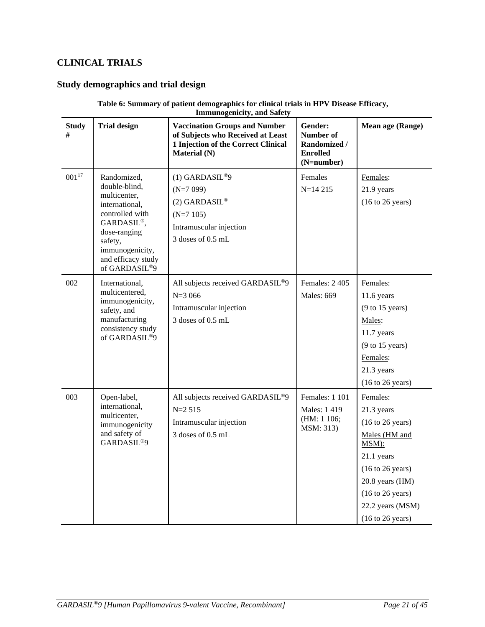# **CLINICAL TRIALS**

# **Study demographics and trial design**

### **Table 6: Summary of patient demographics for clinical trials in HPV Disease Efficacy, Immunogenicity, and Safety**

| <b>Study</b><br># | <b>Trial design</b>                                                                                                                                                                  | <b>Vaccination Groups and Number</b><br>of Subjects who Received at Least<br>1 Injection of the Correct Clinical<br><b>Material (N)</b> | Gender:<br>Number of<br><b>Randomized /</b><br><b>Enrolled</b><br>(N=number) | Mean age (Range)                                                                                                                                                                                                                               |
|-------------------|--------------------------------------------------------------------------------------------------------------------------------------------------------------------------------------|-----------------------------------------------------------------------------------------------------------------------------------------|------------------------------------------------------------------------------|------------------------------------------------------------------------------------------------------------------------------------------------------------------------------------------------------------------------------------------------|
| $001^{17}\,$      | Randomized,<br>double-blind,<br>multicenter,<br>international,<br>controlled with<br>GARDASIL®,<br>dose-ranging<br>safety,<br>immunogenicity,<br>and efficacy study<br>of GARDASIL®9 | $(1)$ GARDASIL®9<br>$(N=7099)$<br>(2) GARDASIL®<br>$(N=7105)$<br>Intramuscular injection<br>3 doses of 0.5 mL                           | Females<br>$N=14215$                                                         | Females:<br>21.9 years<br>$(16 \text{ to } 26 \text{ years})$                                                                                                                                                                                  |
| 002               | International,<br>multicentered,<br>immunogenicity,<br>safety, and<br>manufacturing<br>consistency study<br>of GARDASIL®9                                                            | All subjects received GARDASIL®9<br>$N = 3066$<br>Intramuscular injection<br>3 doses of 0.5 mL                                          | Females: 2 405<br><b>Males: 669</b>                                          | Females:<br>$11.6$ years<br>(9 to 15 years)<br>Males:<br>11.7 years<br>$(9 \text{ to } 15 \text{ years})$<br>Females:<br>21.3 years<br>$(16 \text{ to } 26 \text{ years})$                                                                     |
| 003               | Open-label,<br>international,<br>multicenter,<br>immunogenicity<br>and safety of<br>GARDASIL <sup>®9</sup>                                                                           | All subjects received GARDASIL®9<br>$N=2$ 515<br>Intramuscular injection<br>3 doses of 0.5 mL                                           | Females: 1 101<br>Males: 1419<br>(HM: 1 106;<br>MSM: 313)                    | Females:<br>21.3 years<br>$(16 \text{ to } 26 \text{ years})$<br>Males (HM and<br>MSM):<br>21.1 years<br>(16 to 26 years)<br>20.8 years (HM)<br>$(16 \text{ to } 26 \text{ years})$<br>22.2 years (MSM)<br>$(16 \text{ to } 26 \text{ years})$ |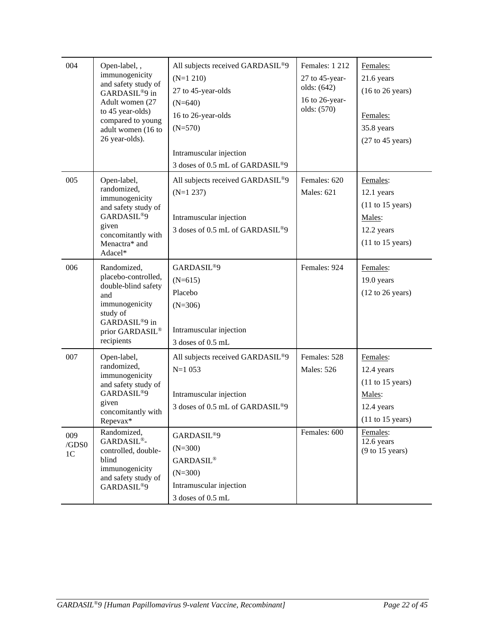| 004                            | Open-label,,<br>immunogenicity<br>and safety study of<br>GARDASIL <sup>®</sup> 9 in<br>Adult women (27<br>to 45 year-olds)<br>compared to young<br>adult women (16 to<br>26 year-olds). | All subjects received GARDASIL®9<br>$(N=1 210)$<br>27 to 45-year-olds<br>$(N=640)$<br>16 to 26-year-olds<br>$(N=570)$<br>Intramuscular injection<br>3 doses of 0.5 mL of GARDASIL®9 | <b>Females: 1 212</b><br>27 to 45-year-<br>olds: (642)<br>16 to 26-year-<br>olds: (570) | Females:<br>21.6 years<br>$(16 \text{ to } 26 \text{ years})$<br>Females:<br>35.8 years<br>$(27$ to 45 years) |
|--------------------------------|-----------------------------------------------------------------------------------------------------------------------------------------------------------------------------------------|-------------------------------------------------------------------------------------------------------------------------------------------------------------------------------------|-----------------------------------------------------------------------------------------|---------------------------------------------------------------------------------------------------------------|
| 005                            | Open-label,<br>randomized,<br>immunogenicity<br>and safety study of<br>GARDASIL <sup>®9</sup><br>given<br>concomitantly with<br>Menactra* and<br>Adacel*                                | All subjects received GARDASIL®9<br>$(N=1 237)$<br>Intramuscular injection<br>3 doses of 0.5 mL of GARDASIL <sup>®9</sup>                                                           | Females: 620<br><b>Males: 621</b>                                                       | Females:<br>12.1 years<br>$(11 \text{ to } 15 \text{ years})$<br>Males:<br>12.2 years<br>$(11$ to 15 years)   |
| 006                            | Randomized,<br>placebo-controlled,<br>double-blind safety<br>and<br>immunogenicity<br>study of<br>GARDASIL®9 in<br>prior GARDASIL®<br>recipients                                        | GARDASIL <sup>®9</sup><br>$(N=615)$<br>Placebo<br>$(N=306)$<br>Intramuscular injection<br>3 doses of 0.5 mL                                                                         | Females: 924                                                                            | Females:<br>19.0 years<br>$(12 \text{ to } 26 \text{ years})$                                                 |
| 007                            | Open-label,<br>randomized,<br>immunogenicity<br>and safety study of<br>GARDASIL <sup>®9</sup><br>given<br>concomitantly with<br>Repevax*                                                | All subjects received GARDASIL®9<br>$N=1053$<br>Intramuscular injection<br>3 doses of 0.5 mL of GARDASIL®9                                                                          | Females: 528<br><b>Males: 526</b>                                                       | Females:<br>12.4 years<br>$(11$ to 15 years)<br>Males:<br>12.4 years<br>$(11 \text{ to } 15 \text{ years})$   |
| 009<br>/GDS0<br>1 <sup>C</sup> | Randomized,<br>GARDASIL®-<br>controlled, double-<br>blind<br>immunogenicity<br>and safety study of<br>GARDASIL <sup>®9</sup>                                                            | GARDASIL®9<br>$(N=300)$<br><b>GARDASIL®</b><br>$(N=300)$<br>Intramuscular injection<br>3 doses of 0.5 mL                                                                            | Females: 600                                                                            | Females:<br>12.6 years<br>(9 to 15 years)                                                                     |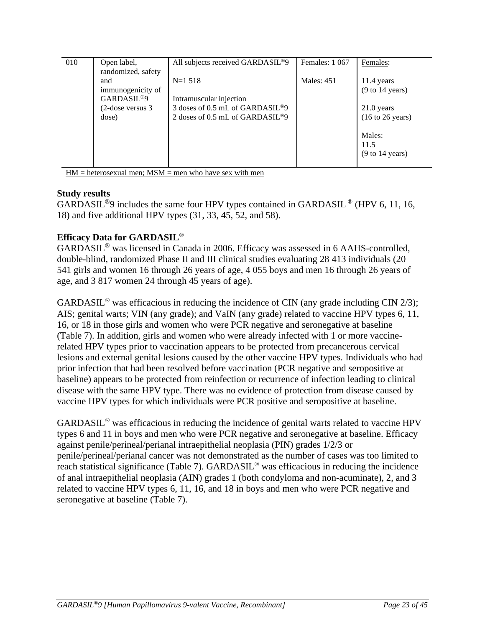| 010 | Open label,<br>randomized, safety                                               | All subjects received GARDASIL <sup>®9</sup>                                                                                      | Females: 1 067    | Females:                                                                                     |
|-----|---------------------------------------------------------------------------------|-----------------------------------------------------------------------------------------------------------------------------------|-------------------|----------------------------------------------------------------------------------------------|
|     | and<br>immunogenicity of<br>GARDASIL <sup>®9</sup><br>(2-dose versus 3<br>dose) | $N=1518$<br>Intramuscular injection<br>3 doses of 0.5 mL of GARDASIL <sup>®9</sup><br>2 doses of 0.5 mL of GARDASIL <sup>®9</sup> | <b>Males: 451</b> | 11.4 years<br>(9 to 14 years)<br>21.0 years<br>$(16 \text{ to } 26 \text{ years})$<br>Males: |
|     |                                                                                 |                                                                                                                                   |                   | 11.5<br>$(9 \text{ to } 14 \text{ years})$                                                   |

 $HM = heterosexual$  men;  $MSM =$  men who have sex with men

## **Study results**

GARDASIL<sup>®</sup>9 includes the same four HPV types contained in GARDASIL<sup>®</sup> (HPV 6, 11, 16, 18) and five additional HPV types (31, 33, 45, 52, and 58).

# **Efficacy Data for GARDASIL®**

GARDASIL® was licensed in Canada in 2006. Efficacy was assessed in 6 AAHS-controlled, double-blind, randomized Phase II and III clinical studies evaluating 28 413 individuals (20 541 girls and women 16 through 26 years of age, 4 055 boys and men 16 through 26 years of age, and 3 817 women 24 through 45 years of age).

GARDASIL<sup>®</sup> was efficacious in reducing the incidence of CIN (any grade including CIN 2/3); AIS; genital warts; VIN (any grade); and VaIN (any grade) related to vaccine HPV types 6, 11, 16, or 18 in those girls and women who were PCR negative and seronegative at baseline (Table 7). In addition, girls and women who were already infected with 1 or more vaccinerelated HPV types prior to vaccination appears to be protected from precancerous cervical lesions and external genital lesions caused by the other vaccine HPV types. Individuals who had prior infection that had been resolved before vaccination (PCR negative and seropositive at baseline) appears to be protected from reinfection or recurrence of infection leading to clinical disease with the same HPV type. There was no evidence of protection from disease caused by vaccine HPV types for which individuals were PCR positive and seropositive at baseline.

GARDASIL® was efficacious in reducing the incidence of genital warts related to vaccine HPV types 6 and 11 in boys and men who were PCR negative and seronegative at baseline. Efficacy against penile/perineal/perianal intraepithelial neoplasia (PIN) grades 1/2/3 or penile/perineal/perianal cancer was not demonstrated as the number of cases was too limited to reach statistical significance (Table 7). GARDASIL® was efficacious in reducing the incidence of anal intraepithelial neoplasia (AIN) grades 1 (both condyloma and non-acuminate), 2, and 3 related to vaccine HPV types 6, 11, 16, and 18 in boys and men who were PCR negative and seronegative at baseline (Table 7).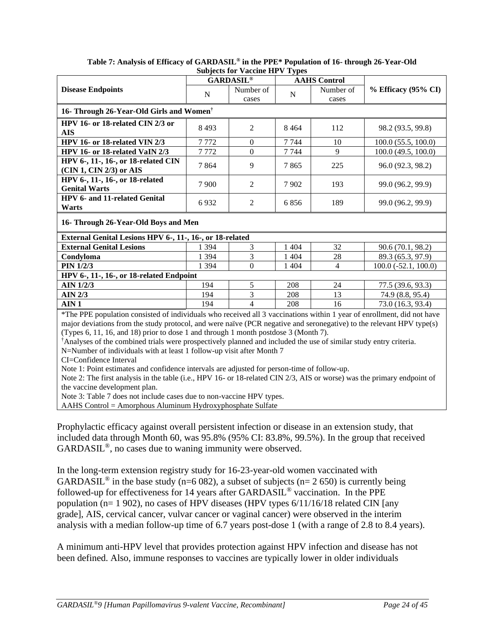|                                                                                                                                                                                                                                                                                                                                       |                                                                                             | $\mathbf{D}$ and $\mathbf{D}$ are $\mathbf{D}$ and $\mathbf{D}$ are $\mathbf{D}$<br><b>GARDASIL®</b> | $\mathbf{y}$ y pos | <b>AAHS</b> Control |                         |  |  |  |  |  |
|---------------------------------------------------------------------------------------------------------------------------------------------------------------------------------------------------------------------------------------------------------------------------------------------------------------------------------------|---------------------------------------------------------------------------------------------|------------------------------------------------------------------------------------------------------|--------------------|---------------------|-------------------------|--|--|--|--|--|
| <b>Disease Endpoints</b>                                                                                                                                                                                                                                                                                                              |                                                                                             | Number of                                                                                            |                    | Number of           | % Efficacy (95% CI)     |  |  |  |  |  |
|                                                                                                                                                                                                                                                                                                                                       | $\mathbf N$                                                                                 | cases                                                                                                | ${\bf N}$          | cases               |                         |  |  |  |  |  |
| 16- Through 26-Year-Old Girls and Women <sup>†</sup>                                                                                                                                                                                                                                                                                  |                                                                                             |                                                                                                      |                    |                     |                         |  |  |  |  |  |
| HPV 16- or 18-related CIN 2/3 or                                                                                                                                                                                                                                                                                                      | 8 4 9 3                                                                                     | $\overline{2}$                                                                                       | 8464               | 112                 | 98.2 (93.5, 99.8)       |  |  |  |  |  |
| <b>AIS</b>                                                                                                                                                                                                                                                                                                                            |                                                                                             |                                                                                                      |                    |                     |                         |  |  |  |  |  |
| HPV 16- or 18-related VIN 2/3                                                                                                                                                                                                                                                                                                         | 7772                                                                                        | $\mathbf{0}$                                                                                         | 7 7 4 4            | 10                  | $100.0$ $(55.5, 100.0)$ |  |  |  |  |  |
| HPV 16- or 18-related VaIN 2/3                                                                                                                                                                                                                                                                                                        | 7772                                                                                        | $\overline{0}$                                                                                       | 7 7 4 4            | 9                   | 100.0 (49.5, 100.0)     |  |  |  |  |  |
| HPV 6-, 11-, 16-, or 18-related CIN                                                                                                                                                                                                                                                                                                   | 7864                                                                                        | 9                                                                                                    | 7865               | 225                 | 96.0 (92.3, 98.2)       |  |  |  |  |  |
| (CIN 1, CIN 2/3) or AIS                                                                                                                                                                                                                                                                                                               |                                                                                             |                                                                                                      |                    |                     |                         |  |  |  |  |  |
| HPV 6-, 11-, 16-, or 18-related<br><b>Genital Warts</b>                                                                                                                                                                                                                                                                               | 7 9 0 0                                                                                     | $\overline{2}$                                                                                       | 7902               | 193                 | 99.0 (96.2, 99.9)       |  |  |  |  |  |
| HPV 6- and 11-related Genital<br>Warts                                                                                                                                                                                                                                                                                                | 6932                                                                                        | $\mathfrak{2}$                                                                                       | 6856               | 189                 | 99.0 (96.2, 99.9)       |  |  |  |  |  |
| 16- Through 26-Year-Old Boys and Men                                                                                                                                                                                                                                                                                                  |                                                                                             |                                                                                                      |                    |                     |                         |  |  |  |  |  |
| External Genital Lesions HPV 6-, 11-, 16-, or 18-related                                                                                                                                                                                                                                                                              |                                                                                             |                                                                                                      |                    |                     |                         |  |  |  |  |  |
| <b>External Genital Lesions</b>                                                                                                                                                                                                                                                                                                       | 1 3 9 4                                                                                     | 3                                                                                                    | 1 4 0 4            | 32                  | 90.6 (70.1, 98.2)       |  |  |  |  |  |
| Condyloma                                                                                                                                                                                                                                                                                                                             | 1 3 9 4                                                                                     | 3                                                                                                    | 1 4 0 4            | 28                  | 89.3 (65.3, 97.9)       |  |  |  |  |  |
| <b>PIN 1/2/3</b>                                                                                                                                                                                                                                                                                                                      | 1 3 9 4                                                                                     | $\theta$                                                                                             | 1 4 0 4            | $\overline{4}$      | $100.0 (-52.1, 100.0)$  |  |  |  |  |  |
| HPV 6-, 11-, 16-, or 18-related Endpoint                                                                                                                                                                                                                                                                                              |                                                                                             |                                                                                                      |                    |                     |                         |  |  |  |  |  |
| <b>AIN 1/2/3</b>                                                                                                                                                                                                                                                                                                                      | 194                                                                                         | 5                                                                                                    | 208                | 24                  | 77.5 (39.6, 93.3)       |  |  |  |  |  |
| <b>AIN 2/3</b>                                                                                                                                                                                                                                                                                                                        | 194                                                                                         | 3                                                                                                    | 208                | 13                  | 74.9 (8.8, 95.4)        |  |  |  |  |  |
| AIN <sub>1</sub>                                                                                                                                                                                                                                                                                                                      | 194                                                                                         | 4                                                                                                    | 208                | 16                  | 73.0 (16.3, 93.4)       |  |  |  |  |  |
| *The PPE population consisted of individuals who received all 3 vaccinations within 1 year of enrollment, did not have<br>major deviations from the study protocol, and were naïve (PCR negative and seronegative) to the relevant HPV type(s)<br>(Types 6, 11, 16, and 18) prior to dose 1 and through 1 month postdose 3 (Month 7). |                                                                                             |                                                                                                      |                    |                     |                         |  |  |  |  |  |
| <sup>†</sup> Analyses of the combined trials were prospectively planned and included the use of similar study entry criteria.                                                                                                                                                                                                         |                                                                                             |                                                                                                      |                    |                     |                         |  |  |  |  |  |
| N=Number of individuals with at least 1 follow-up visit after Month 7                                                                                                                                                                                                                                                                 |                                                                                             |                                                                                                      |                    |                     |                         |  |  |  |  |  |
| CI=Confidence Interval                                                                                                                                                                                                                                                                                                                |                                                                                             |                                                                                                      |                    |                     |                         |  |  |  |  |  |
|                                                                                                                                                                                                                                                                                                                                       | Note 1: Point estimates and confidence intervals are adjusted for person-time of follow-up. |                                                                                                      |                    |                     |                         |  |  |  |  |  |
| Note 2: The first analysis in the table (i.e., HPV 16- or 18-related CIN 2/3, AIS or worse) was the primary endpoint of                                                                                                                                                                                                               |                                                                                             |                                                                                                      |                    |                     |                         |  |  |  |  |  |
| the vaccine development plan.                                                                                                                                                                                                                                                                                                         |                                                                                             |                                                                                                      |                    |                     |                         |  |  |  |  |  |
| Note 3: Table 7 does not include cases due to non-vaccine HPV types.                                                                                                                                                                                                                                                                  |                                                                                             |                                                                                                      |                    |                     |                         |  |  |  |  |  |
| AAHS Control = Amorphous Aluminum Hydroxyphosphate Sulfate                                                                                                                                                                                                                                                                            |                                                                                             |                                                                                                      |                    |                     |                         |  |  |  |  |  |

### **Table 7: Analysis of Efficacy of GARDASIL® in the PPE\* Population of 16- through 26-Year-Old Subjects for Vaccine HPV Types**

Prophylactic efficacy against overall persistent infection or disease in an extension study, that included data through Month 60, was 95.8% (95% CI: 83.8%, 99.5%). In the group that received GARDASIL®, no cases due to waning immunity were observed.

In the long-term extension registry study for 16-23-year-old women vaccinated with GARDASIL<sup>®</sup> in the base study (n=6 082), a subset of subjects (n= 2 650) is currently being followed-up for effectiveness for 14 years after GARDASIL® vaccination. In the PPE population (n= 1 902), no cases of HPV diseases (HPV types 6/11/16/18 related CIN [any grade], AIS, cervical cancer, vulvar cancer or vaginal cancer) were observed in the interim analysis with a median follow-up time of 6.7 years post-dose 1 (with a range of 2.8 to 8.4 years).

A minimum anti-HPV level that provides protection against HPV infection and disease has not been defined. Also, immune responses to vaccines are typically lower in older individuals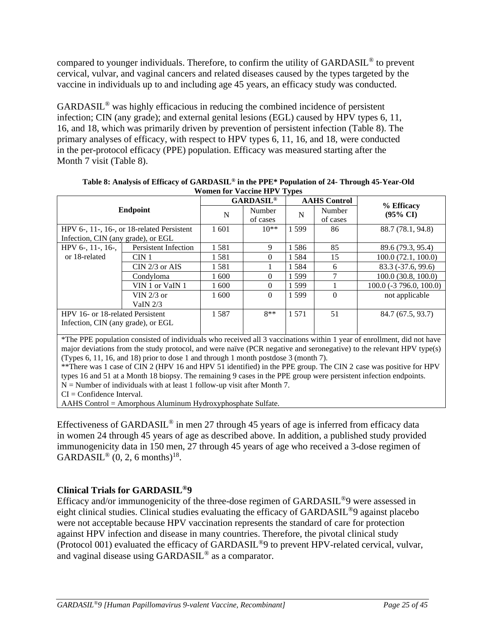compared to younger individuals. Therefore, to confirm the utility of GARDASIL® to prevent cervical, vulvar, and vaginal cancers and related diseases caused by the types targeted by the vaccine in individuals up to and including age 45 years, an efficacy study was conducted.

GARDASIL® was highly efficacious in reducing the combined incidence of persistent infection; CIN (any grade); and external genital lesions (EGL) caused by HPV types 6, 11, 16, and 18, which was primarily driven by prevention of persistent infection (Table 8). The primary analyses of efficacy, with respect to HPV types 6, 11, 16, and 18, were conducted in the per-protocol efficacy (PPE) population. Efficacy was measured starting after the Month 7 visit (Table 8).

| WOLIER TOT VACCINE ITT V TYPES     |                                                       |                    |                             |                    |                     |                           |  |  |  |  |
|------------------------------------|-------------------------------------------------------|--------------------|-----------------------------|--------------------|---------------------|---------------------------|--|--|--|--|
|                                    |                                                       |                    | <b>GARDASIL<sup>®</sup></b> |                    | <b>AAHS</b> Control | % Efficacy                |  |  |  |  |
| Endpoint                           | N                                                     | Number<br>of cases | N                           | Number<br>of cases | $(95\% \text{ CI})$ |                           |  |  |  |  |
|                                    | HPV $6-$ , 11 $-$ , 16 $-$ , or 18-related Persistent | 1 601              | $10**$                      | 1 5 9 9            | 86                  | 88.7 (78.1, 94.8)         |  |  |  |  |
| Infection, CIN (any grade), or EGL |                                                       |                    |                             |                    |                     |                           |  |  |  |  |
| HPV 6-, $11$ -, $16$ -,            | Persistent Infection                                  | 1581               | 9                           | 1586               | 85                  | 89.6 (79.3, 95.4)         |  |  |  |  |
| or 18-related                      | CIN <sub>1</sub>                                      | 1581               | $\Omega$                    | 1584               | 15                  | 100.0(72.1, 100.0)        |  |  |  |  |
|                                    | CIN $2/3$ or AIS                                      | 1581               |                             | 1584               | 6                   | $83.3(-37.6, 99.6)$       |  |  |  |  |
|                                    | Condyloma                                             | 1600               | $\Omega$                    | 1599               |                     | $100.0$ (30.8, 100.0)     |  |  |  |  |
|                                    | VIN 1 or VaIN 1                                       | 1600               | $\Omega$                    | 1599               |                     | $100.0$ (-3 796.0, 100.0) |  |  |  |  |
|                                    | VIN $2/3$ or                                          | 1600               | $\Omega$                    | 1 5 9 9            | $\Omega$            | not applicable            |  |  |  |  |
|                                    | VaIN $2/3$                                            |                    |                             |                    |                     |                           |  |  |  |  |
| HPV 16- or 18-related Persistent   | 1587                                                  | $8**$              | 1 571                       | 51                 | 84.7 (67.5, 93.7)   |                           |  |  |  |  |
| Infection, CIN (any grade), or EGL |                                                       |                    |                             |                    |                     |                           |  |  |  |  |
|                                    |                                                       |                    |                             |                    |                     |                           |  |  |  |  |

| Table 8: Analysis of Efficacy of GARDASIL <sup>®</sup> in the PPE <sup>*</sup> Population of 24- Through 45-Year-Old |
|----------------------------------------------------------------------------------------------------------------------|
| <b>Women for Vaccine HPV Types</b>                                                                                   |

\*The PPE population consisted of individuals who received all 3 vaccinations within 1 year of enrollment, did not have major deviations from the study protocol, and were naïve (PCR negative and seronegative) to the relevant HPV type(s) (Types 6, 11, 16, and 18) prior to dose 1 and through 1 month postdose 3 (month 7).

\*\*There was 1 case of CIN 2 (HPV 16 and HPV 51 identified) in the PPE group. The CIN 2 case was positive for HPV types 16 and 51 at a Month 18 biopsy. The remaining 9 cases in the PPE group were persistent infection endpoints.  $N =$  Number of individuals with at least 1 follow-up visit after Month 7.

CI = Confidence Interval.

AAHS Control = Amorphous Aluminum Hydroxyphosphate Sulfate.

Effectiveness of GARDASIL® in men 27 through 45 years of age is inferred from efficacy data in women 24 through 45 years of age as described above. In addition, a published study provided immunogenicity data in 150 men, 27 through 45 years of age who received a 3-dose regimen of  $GARDASIL^{\circledcirc}$  (0, 2, 6 months)<sup>18</sup>.

# **Clinical Trials for GARDASIL®9**

Efficacy and/or immunogenicity of the three-dose regimen of GARDASIL®9 were assessed in eight clinical studies. Clinical studies evaluating the efficacy of GARDASIL®9 against placebo were not acceptable because HPV vaccination represents the standard of care for protection against HPV infection and disease in many countries. Therefore, the pivotal clinical study (Protocol 001) evaluated the efficacy of GARDASIL®9 to prevent HPV-related cervical, vulvar, and vaginal disease using GARDASIL® as a comparator.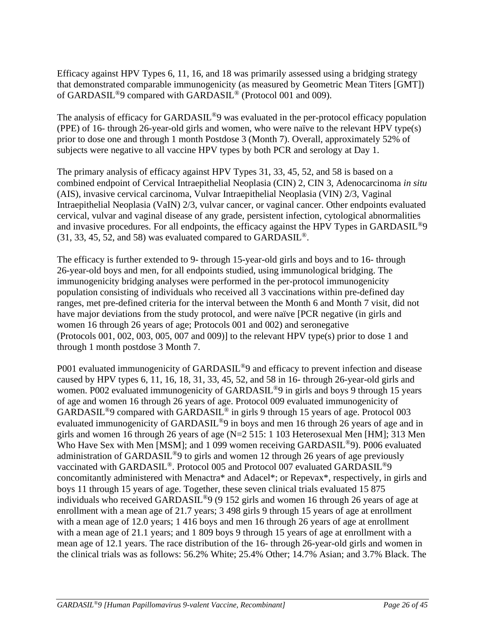Efficacy against HPV Types 6, 11, 16, and 18 was primarily assessed using a bridging strategy that demonstrated comparable immunogenicity (as measured by Geometric Mean Titers [GMT]) of GARDASIL®9 compared with GARDASIL® (Protocol 001 and 009).

The analysis of efficacy for GARDASIL<sup>®</sup>9 was evaluated in the per-protocol efficacy population (PPE) of 16- through 26-year-old girls and women, who were naïve to the relevant HPV type(s) prior to dose one and through 1 month Postdose 3 (Month 7). Overall, approximately 52% of subjects were negative to all vaccine HPV types by both PCR and serology at Day 1.

The primary analysis of efficacy against HPV Types 31, 33, 45, 52, and 58 is based on a combined endpoint of Cervical Intraepithelial Neoplasia (CIN) 2, CIN 3, Adenocarcinoma *in situ* (AIS), invasive cervical carcinoma, Vulvar Intraepithelial Neoplasia (VIN) 2/3, Vaginal Intraepithelial Neoplasia (VaIN) 2/3, vulvar cancer, or vaginal cancer. Other endpoints evaluated cervical, vulvar and vaginal disease of any grade, persistent infection, cytological abnormalities and invasive procedures. For all endpoints, the efficacy against the HPV Types in GARDASIL<sup>®</sup>9  $(31, 33, 45, 52, \text{ and } 58)$  was evaluated compared to GARDASIL<sup>®</sup>.

The efficacy is further extended to 9- through 15-year-old girls and boys and to 16- through 26-year-old boys and men, for all endpoints studied, using immunological bridging. The immunogenicity bridging analyses were performed in the per-protocol immunogenicity population consisting of individuals who received all 3 vaccinations within pre-defined day ranges, met pre-defined criteria for the interval between the Month 6 and Month 7 visit, did not have major deviations from the study protocol, and were naïve [PCR negative (in girls and women 16 through 26 years of age; Protocols 001 and 002) and seronegative (Protocols 001, 002, 003, 005, 007 and 009)] to the relevant HPV type(s) prior to dose 1 and through 1 month postdose 3 Month 7.

P001 evaluated immunogenicity of GARDASIL<sup>®</sup>9 and efficacy to prevent infection and disease caused by HPV types 6, 11, 16, 18, 31, 33, 45, 52, and 58 in 16- through 26-year-old girls and women. P002 evaluated immunogenicity of GARDASIL<sup>®</sup>9 in girls and boys 9 through 15 years of age and women 16 through 26 years of age. Protocol 009 evaluated immunogenicity of GARDASIL<sup>®</sup>9 compared with GARDASIL<sup>®</sup> in girls 9 through 15 years of age. Protocol 003 evaluated immunogenicity of GARDASIL®9 in boys and men 16 through 26 years of age and in girls and women 16 through 26 years of age (N=2 515: 1 103 Heterosexual Men [HM]; 313 Men Who Have Sex with Men [MSM]; and 1 099 women receiving GARDASIL<sup>®</sup>9). P006 evaluated administration of GARDASIL®9 to girls and women 12 through 26 years of age previously vaccinated with GARDASIL®. Protocol 005 and Protocol 007 evaluated GARDASIL®9 concomitantly administered with Menactra\* and Adacel\*; or Repevax\*, respectively, in girls and boys 11 through 15 years of age. Together, these seven clinical trials evaluated 15 875 individuals who received GARDASIL®9 (9 152 girls and women 16 through 26 years of age at enrollment with a mean age of 21.7 years; 3 498 girls 9 through 15 years of age at enrollment with a mean age of 12.0 years; 1 416 boys and men 16 through 26 years of age at enrollment with a mean age of 21.1 years; and 1 809 boys 9 through 15 years of age at enrollment with a mean age of 12.1 years. The race distribution of the 16- through 26-year-old girls and women in the clinical trials was as follows: 56.2% White; 25.4% Other; 14.7% Asian; and 3.7% Black. The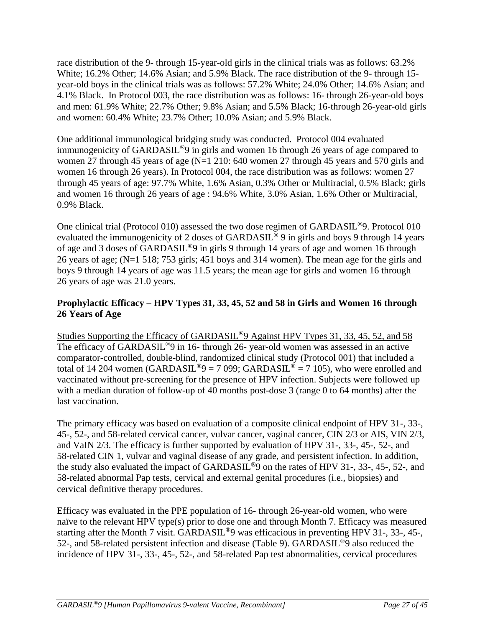race distribution of the 9- through 15-year-old girls in the clinical trials was as follows: 63.2% White; 16.2% Other; 14.6% Asian; and 5.9% Black. The race distribution of the 9- through 15 year-old boys in the clinical trials was as follows: 57.2% White; 24.0% Other; 14.6% Asian; and 4.1% Black. In Protocol 003, the race distribution was as follows: 16- through 26-year-old boys and men: 61.9% White; 22.7% Other; 9.8% Asian; and 5.5% Black; 16-through 26-year-old girls and women: 60.4% White; 23.7% Other; 10.0% Asian; and 5.9% Black.

One additional immunological bridging study was conducted. Protocol 004 evaluated immunogenicity of GARDASIL®9 in girls and women 16 through 26 years of age compared to women 27 through 45 years of age (N=1 210: 640 women 27 through 45 years and 570 girls and women 16 through 26 years). In Protocol 004, the race distribution was as follows: women 27 through 45 years of age: 97.7% White, 1.6% Asian, 0.3% Other or Multiracial, 0.5% Black; girls and women 16 through 26 years of age : 94.6% White, 3.0% Asian, 1.6% Other or Multiracial, 0.9% Black.

One clinical trial (Protocol 010) assessed the two dose regimen of GARDASIL®9. Protocol 010 evaluated the immunogenicity of 2 doses of GARDASIL<sup>®</sup> 9 in girls and boys 9 through 14 years of age and 3 doses of GARDASIL®9 in girls 9 through 14 years of age and women 16 through 26 years of age; (N=1 518; 753 girls; 451 boys and 314 women). The mean age for the girls and boys 9 through 14 years of age was 11.5 years; the mean age for girls and women 16 through 26 years of age was 21.0 years.

# **Prophylactic Efficacy – HPV Types 31, 33, 45, 52 and 58 in Girls and Women 16 through 26 Years of Age**

Studies Supporting the Efficacy of GARDASIL®9 Against HPV Types 31, 33, 45, 52, and 58 The efficacy of GARDASIL<sup>®</sup>9 in 16- through 26- year-old women was assessed in an active comparator-controlled, double-blind, randomized clinical study (Protocol 001) that included a total of 14 204 women (GARDASIL<sup>®</sup>9 = 7 099; GARDASIL<sup>®</sup> = 7 105), who were enrolled and vaccinated without pre-screening for the presence of HPV infection. Subjects were followed up with a median duration of follow-up of 40 months post-dose 3 (range 0 to 64 months) after the last vaccination.

The primary efficacy was based on evaluation of a composite clinical endpoint of HPV 31-, 33-, 45-, 52-, and 58-related cervical cancer, vulvar cancer, vaginal cancer, CIN 2/3 or AIS, VIN 2/3, and VaIN 2/3. The efficacy is further supported by evaluation of HPV 31-, 33-, 45-, 52-, and 58-related CIN 1, vulvar and vaginal disease of any grade, and persistent infection. In addition, the study also evaluated the impact of GARDASIL®9 on the rates of HPV 31-, 33-, 45-, 52-, and 58-related abnormal Pap tests, cervical and external genital procedures (i.e., biopsies) and cervical definitive therapy procedures.

Efficacy was evaluated in the PPE population of 16- through 26-year-old women, who were naïve to the relevant HPV type(s) prior to dose one and through Month 7. Efficacy was measured starting after the Month 7 visit. GARDASIL®9 was efficacious in preventing HPV 31-, 33-, 45-, 52-, and 58-related persistent infection and disease (Table 9). GARDASIL®9 also reduced the incidence of HPV 31-, 33-, 45-, 52-, and 58-related Pap test abnormalities, cervical procedures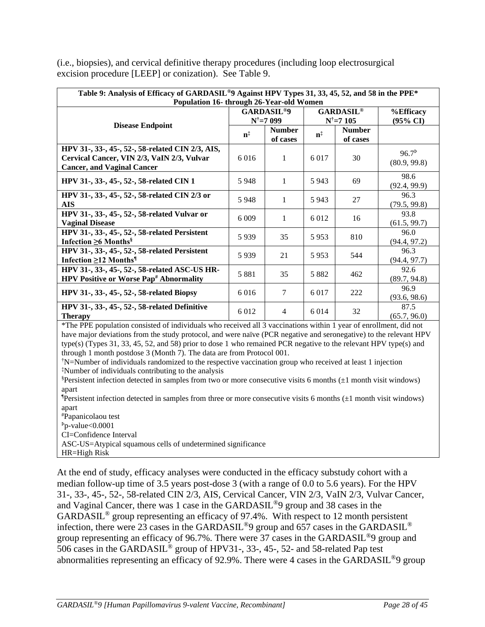(i.e., biopsies), and cervical definitive therapy procedures (including loop electrosurgical excision procedure [LEEP] or conization). See Table 9.

| Table 9: Analysis of Efficacy of GARDASIL <sup>®</sup> 9 Against HPV Types 31, 33, 45, 52, and 58 in the PPE <sup>*</sup><br>Population 16- through 26-Year-old Women |                         |                                                      |                         |                                                      |                                         |  |  |  |  |
|-----------------------------------------------------------------------------------------------------------------------------------------------------------------------|-------------------------|------------------------------------------------------|-------------------------|------------------------------------------------------|-----------------------------------------|--|--|--|--|
|                                                                                                                                                                       |                         | <b>GARDASIL<sup>®9</sup></b><br>$N^{\dagger} = 7099$ |                         | <b>GARDASIL<sup>®</sup></b><br>$N^{\dagger} = 7 105$ | <b>%Efficacy</b><br>$(95\% \text{ CI})$ |  |  |  |  |
| <b>Disease Endpoint</b>                                                                                                                                               | $\mathbf{n}^{\ddagger}$ | <b>Number</b><br>of cases                            | $\mathbf{n}^{\ddagger}$ | <b>Number</b><br>of cases                            |                                         |  |  |  |  |
| HPV 31-, 33-, 45-, 52-, 58-related CIN 2/3, AIS,<br>Cervical Cancer, VIN 2/3, VaIN 2/3, Vulvar<br><b>Cancer, and Vaginal Cancer</b>                                   | 6016                    | 1                                                    | 6 0 1 7                 | 30                                                   | $96.7^{\rm b}$<br>(80.9, 99.8)          |  |  |  |  |
| HPV 31-, 33-, 45-, 52-, 58-related CIN 1                                                                                                                              | 5948                    | 1                                                    | 5943                    | 69                                                   | 98.6<br>(92.4, 99.9)                    |  |  |  |  |
| HPV 31-, 33-, 45-, 52-, 58-related CIN 2/3 or<br>AIS                                                                                                                  | 5948                    | 1                                                    | 5943                    | 27                                                   | 96.3<br>(79.5, 99.8)                    |  |  |  |  |
| HPV 31-, 33-, 45-, 52-, 58-related Vulvar or<br><b>Vaginal Disease</b>                                                                                                | 6 0 0 9                 | 1                                                    | 6 0 1 2                 | 16                                                   | 93.8<br>(61.5, 99.7)                    |  |  |  |  |
| HPV 31-, 33-, 45-, 52-, 58-related Persistent<br>Infection $\geq 6$ Months <sup>§</sup>                                                                               | 5939                    | 35                                                   | 5953                    | 810                                                  | 96.0<br>(94.4, 97.2)                    |  |  |  |  |
| HPV 31-, 33-, 45-, 52-, 58-related Persistent<br>Infection $\geq$ 12 Months <sup>1</sup>                                                                              | 5939                    | 21                                                   | 5953                    | 544                                                  | 96.3<br>(94.4, 97.7)                    |  |  |  |  |
| HPV 31-, 33-, 45-, 52-, 58-related ASC-US HR-<br><b>HPV Positive or Worse Pap<sup>#</sup> Abnormality</b>                                                             | 5 8 8 1                 | 35                                                   | 5882                    | 462                                                  | 92.6<br>(89.7, 94.8)                    |  |  |  |  |
| HPV 31-, 33-, 45-, 52-, 58-related Biopsy                                                                                                                             | 6 0 1 6                 | 7                                                    | 6 0 1 7                 | 222                                                  | 96.9<br>(93.6, 98.6)                    |  |  |  |  |
| <b>HPV 31-, 33-, 45-, 52-, 58-related Definitive</b><br><b>Therapy</b>                                                                                                | 6 0 1 2                 | 4                                                    | 6 0 1 4                 | 32                                                   | 87.5<br>(65.7, 96.0)                    |  |  |  |  |

\*The PPE population consisted of individuals who received all 3 vaccinations within 1 year of enrollment, did not have major deviations from the study protocol, and were naïve (PCR negative and seronegative) to the relevant HPV type(s) (Types 31, 33, 45, 52, and 58) prior to dose 1 who remained PCR negative to the relevant HPV type(s) and through 1 month postdose 3 (Month 7). The data are from Protocol 001.

†N=Number of individuals randomized to the respective vaccination group who received at least 1 injection ‡Number of individuals contributing to the analysis

§Persistent infection detected in samples from two or more consecutive visits 6 months (±1 month visit windows) apart

**Persistent infection detected in samples from three or more consecutive visits 6 months**  $(\pm 1$  **month visit windows)** apart

#Papanicolaou test

 $P_{p-value}$ <0.0001

CI=Confidence Interval

ASC-US=Atypical squamous cells of undetermined significance

HR=High Risk

At the end of study, efficacy analyses were conducted in the efficacy substudy cohort with a median follow-up time of 3.5 years post-dose 3 (with a range of 0.0 to 5.6 years). For the HPV 31-, 33-, 45-, 52-, 58-related CIN 2/3, AIS, Cervical Cancer, VIN 2/3, VaIN 2/3, Vulvar Cancer, and Vaginal Cancer, there was 1 case in the GARDASIL®9 group and 38 cases in the GARDASIL® group representing an efficacy of 97.4%. With respect to 12 month persistent infection, there were 23 cases in the GARDASIL®9 group and 657 cases in the GARDASIL® group representing an efficacy of 96.7%. There were 37 cases in the GARDASIL®9 group and 506 cases in the GARDASIL® group of HPV31-, 33-, 45-, 52- and 58-related Pap test abnormalities representing an efficacy of 92.9%. There were 4 cases in the GARDASIL®9 group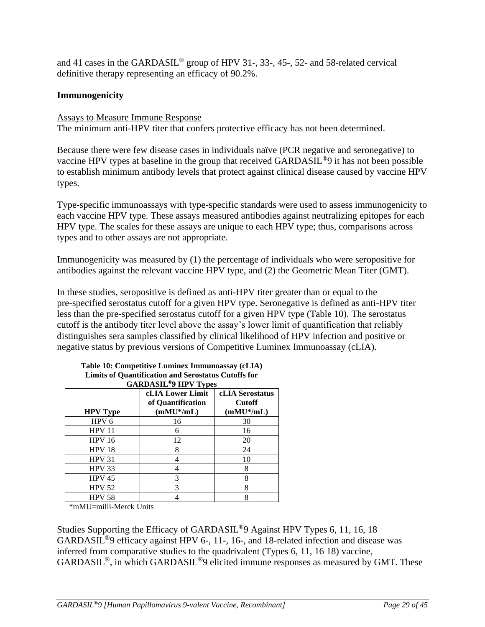and 41 cases in the GARDASIL® group of HPV 31-, 33-, 45-, 52- and 58-related cervical definitive therapy representing an efficacy of 90.2%.

## **Immunogenicity**

### Assays to Measure Immune Response

The minimum anti-HPV titer that confers protective efficacy has not been determined.

Because there were few disease cases in individuals naïve (PCR negative and seronegative) to vaccine HPV types at baseline in the group that received GARDASIL®9 it has not been possible to establish minimum antibody levels that protect against clinical disease caused by vaccine HPV types.

Type-specific immunoassays with type-specific standards were used to assess immunogenicity to each vaccine HPV type. These assays measured antibodies against neutralizing epitopes for each HPV type. The scales for these assays are unique to each HPV type; thus, comparisons across types and to other assays are not appropriate.

Immunogenicity was measured by (1) the percentage of individuals who were seropositive for antibodies against the relevant vaccine HPV type, and (2) the Geometric Mean Titer (GMT).

In these studies, seropositive is defined as anti-HPV titer greater than or equal to the pre-specified serostatus cutoff for a given HPV type. Seronegative is defined as anti-HPV titer less than the pre-specified serostatus cutoff for a given HPV type (Table 10). The serostatus cutoff is the antibody titer level above the assay's lower limit of quantification that reliably distinguishes sera samples classified by clinical likelihood of HPV infection and positive or negative status by previous versions of Competitive Luminex Immunoassay (cLIA).

| <b>GARDASIL<sup>®</sup>9 HPV Types</b> |                                                              |                                                         |  |  |  |  |  |  |  |  |
|----------------------------------------|--------------------------------------------------------------|---------------------------------------------------------|--|--|--|--|--|--|--|--|
| <b>HPV</b> Type                        | <b>cLIA Lower Limit</b><br>of Quantification<br>$(mMU^*/mL)$ | <b>cLIA</b> Serostatus<br><b>Cutoff</b><br>$(mMU^*/mL)$ |  |  |  |  |  |  |  |  |
| HPV <sub>6</sub>                       | 16                                                           | 30                                                      |  |  |  |  |  |  |  |  |
| <b>HPV 11</b>                          | 6                                                            | 16                                                      |  |  |  |  |  |  |  |  |
| <b>HPV 16</b>                          | 12                                                           | 20                                                      |  |  |  |  |  |  |  |  |
| HPV <sub>18</sub>                      | 8                                                            | 24                                                      |  |  |  |  |  |  |  |  |
| <b>HPV 31</b>                          |                                                              | 10                                                      |  |  |  |  |  |  |  |  |
| <b>HPV 33</b>                          |                                                              |                                                         |  |  |  |  |  |  |  |  |
| <b>HPV 45</b>                          |                                                              | 8                                                       |  |  |  |  |  |  |  |  |
| <b>HPV 52</b>                          |                                                              | 8                                                       |  |  |  |  |  |  |  |  |
| <b>HPV 58</b>                          |                                                              |                                                         |  |  |  |  |  |  |  |  |

# **Table 10: Competitive Luminex Immunoassay (cLIA) Limits of Quantification and Serostatus Cutoffs for**

\*mMU=milli-Merck Units

Studies Supporting the Efficacy of GARDASIL®9 Against HPV Types 6, 11, 16, 18 GARDASIL®9 efficacy against HPV 6-, 11-, 16-, and 18-related infection and disease was inferred from comparative studies to the quadrivalent (Types 6, 11, 16 18) vaccine, GARDASIL®, in which GARDASIL®9 elicited immune responses as measured by GMT. These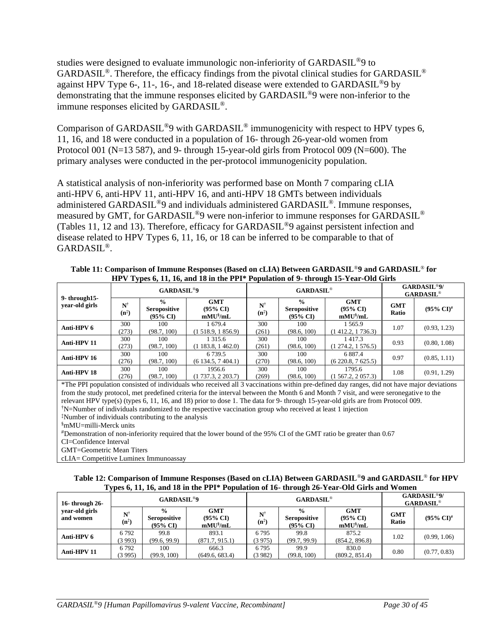studies were designed to evaluate immunologic non-inferiority of GARDASIL®9 to GARDASIL<sup>®</sup>. Therefore, the efficacy findings from the pivotal clinical studies for GARDASIL<sup>®</sup> against HPV Type 6-, 11-, 16-, and 18-related disease were extended to GARDASIL®9 by demonstrating that the immune responses elicited by GARDASIL®9 were non-inferior to the immune responses elicited by GARDASIL®.

Comparison of GARDASIL<sup>®</sup>9 with GARDASIL<sup>®</sup> immunogenicity with respect to HPV types 6, 11, 16, and 18 were conducted in a population of 16- through 26-year-old women from Protocol 001 (N=13 587), and 9- through 15-year-old girls from Protocol 009 (N=600). The primary analyses were conducted in the per-protocol immunogenicity population.

A statistical analysis of non-inferiority was performed base on Month 7 comparing cLIA anti-HPV 6, anti-HPV 11, anti-HPV 16, and anti-HPV 18 GMTs between individuals administered GARDASIL<sup>®</sup>9 and individuals administered GARDASIL<sup>®</sup>. Immune responses, measured by GMT, for GARDASIL®9 were non-inferior to immune responses for GARDASIL® (Tables 11, 12 and 13). Therefore, efficacy for GARDASIL®9 against persistent infection and disease related to HPV Types 6, 11, 16, or 18 can be inferred to be comparable to that of GARDASIL®.

| III V TYPCS 0, IT, IO, and TO in the ITT TUPURATURE OF 2. CHEVIER TO THE CALLO |                                            |                                                             |                                                    |                                            |                                                             |                                                 |                     |                          |  |  |
|--------------------------------------------------------------------------------|--------------------------------------------|-------------------------------------------------------------|----------------------------------------------------|--------------------------------------------|-------------------------------------------------------------|-------------------------------------------------|---------------------|--------------------------|--|--|
| 9-through 15-                                                                  |                                            | <b>GARDASIL<sup>®9</sup></b>                                |                                                    |                                            | <b>GARDASIL®</b>                                            | <b>GARDASIL®9/</b><br><b>GARDASIL®</b>          |                     |                          |  |  |
| year-old girls                                                                 | $\mathbf{N}^{\dagger}$<br>$(n^{\ddagger})$ | $\frac{0}{0}$<br><b>Seropositive</b><br>$(95\% \text{ CI})$ | <b>GMT</b><br>$(95\% \text{ CI})$<br>$mMU^{\S}/mL$ | $\mathbf{N}^{\dagger}$<br>$(n^{\ddagger})$ | $\frac{0}{0}$<br><b>Seropositive</b><br>$(95\% \text{ CI})$ | <b>GMT</b><br>$(95\% \text{ CI})$<br>$mMU^s/mL$ | <b>GMT</b><br>Ratio | $(95\% \text{ CI})^{\#}$ |  |  |
| Anti-HPV 6                                                                     | 300<br>(273)                               | 100<br>(98.7, 100)                                          | 1 679.4<br>(1, 518.9, 1, 856.9)                    | 300<br>(261)                               | 100<br>(98.6, 100)                                          | 1 565.9<br>(1412.2, 1736.3)                     | 1.07                | (0.93, 1.23)             |  |  |
| Anti-HPV 11                                                                    | 300<br>(273)                               | 100<br>(98.7, 100)                                          | 1 3 1 5 .6<br>$(1\ 183.8, 1\ 462.0)$               | 300<br>(261)                               | 100<br>(98.6, 100)                                          | 1417.3<br>$(1\,274.2, 1\,576.5)$                | 0.93                | (0.80, 1.08)             |  |  |
| Anti-HPV 16                                                                    | 300<br>(276)                               | 100<br>(98.7, 100)                                          | 6.739.5<br>(6134.5, 7404.1)                        | 300<br>(270)                               | 100<br>(98.6, 100)                                          | 6887.4<br>(6220.8, 7625.5)                      | 0.97                | (0.85, 1.11)             |  |  |
| Anti-HPV 18                                                                    | 300<br>(276)                               | 100<br>(98.7, 100)                                          | 1956.6<br>(1737.3, 2203.7)                         | 300<br>(269)                               | 100<br>(98.6, 100)                                          | 1795.6<br>$(1\,567.2, 2\,057.3)$                | 1.08                | (0.91, 1.29)             |  |  |

**Table 11: Comparison of Immune Responses (Based on cLIA) Between GARDASIL**®**9 and GARDASIL**® **for HPV Types 6, 11, 16, and 18 in the PPI\* Population of 9- through 15-Year-Old Girls**

\*The PPI population consisted of individuals who received all 3 vaccinations within pre-defined day ranges, did not have major deviations from the study protocol, met predefined criteria for the interval between the Month 6 and Month 7 visit, and were seronegative to the relevant HPV type(s) (types 6, 11, 16, and 18) prior to dose 1. The data for 9- through 15-year-old girls are from Protocol 009. †N=Number of individuals randomized to the respective vaccination group who received at least 1 injection ‡Number of individuals contributing to the analysis

§mMU=milli-Merck units

#Demonstration of non-inferiority required that the lower bound of the 95% CI of the GMT ratio be greater than 0.67

CI=Confidence Interval

GMT=Geometric Mean Titers

cLIA= Competitive Luminex Immunoassay

### **Table 12: Comparison of Immune Responses (Based on cLIA) Between GARDASIL**®**9 and GARDASIL**® **for HPV Types 6, 11, 16, and 18 in the PPI\* Population of 16- through 26-Year-Old Girls and Women**

|                                                  | . .                   | <b>GARDASIL<sup>®9</sup></b>                     |                                                    |                                            | ---<br><b>GARDASIL®</b>                                     | <b>GARDASIL<sup>®9</sup>/</b><br>$GARDASIL^{\circledcirc}$ |                     |                       |
|--------------------------------------------------|-----------------------|--------------------------------------------------|----------------------------------------------------|--------------------------------------------|-------------------------------------------------------------|------------------------------------------------------------|---------------------|-----------------------|
| 16-through $26$ -<br>year-old girls<br>and women | N<br>$(n^{\ddagger})$ | $\frac{0}{0}$<br><b>Seropositive</b><br>(95% CI) | <b>GMT</b><br>$(95\% \text{ CI})$<br>$mMU^{\S}/mL$ | $\mathbf{N}^{\dagger}$<br>$(n^{\ddagger})$ | $\frac{0}{0}$<br><b>Seropositive</b><br>$(95\% \text{ CI})$ | <b>GMT</b><br>$(95\% \text{ CI})$<br>$mMU^{\S}/mL$         | <b>GMT</b><br>Ratio | $(95\% \text{ CI})^*$ |
| Anti-HPV 6                                       | 6792<br>(3993)        | 99.8<br>(99.6, 99.9)                             | 893.1<br>(871.7, 915.1)                            | 6795<br>(3975)                             | 99.8<br>(99.7, 99.9)                                        | 875.2<br>(854.2, 896.8)                                    | 1.02                | (0.99, 1.06)          |
| Anti-HPV 11                                      | 6792<br>(3995)        | 100<br>(99.9, 100)                               | 666.3<br>(649.6, 683.4)                            | 6795<br>(3982)                             | 99.9<br>(99.8, 100)                                         | 830.0<br>(809.2, 851.4)                                    | 0.80                | (0.77, 0.83)          |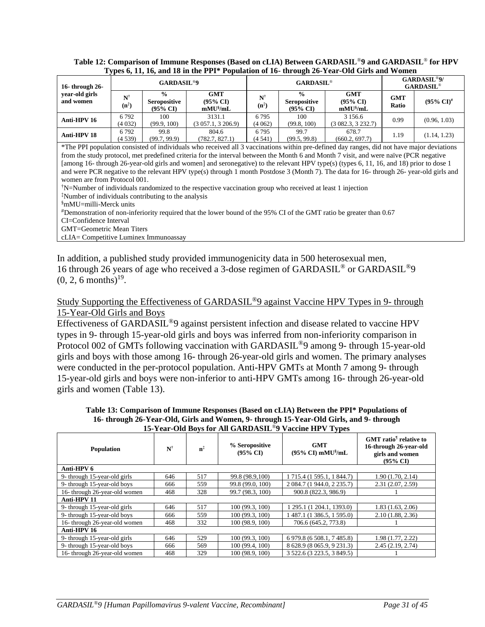### **Table 12: Comparison of Immune Responses (Based on cLIA) Between GARDASIL**®**9 and GARDASIL**® **for HPV Types 6, 11, 16, and 18 in the PPI\* Population of 16- through 26-Year-Old Girls and Women**

| 16-through $26$ -           |                                            | <b>GARDASIL<sup>®9</sup></b>                                |                                                    |                                            | <b>GARDASIL®</b>                                            | <b>GARDASIL<sup>®9</sup>/</b><br><b>GARDASIL®</b>  |                     |                         |
|-----------------------------|--------------------------------------------|-------------------------------------------------------------|----------------------------------------------------|--------------------------------------------|-------------------------------------------------------------|----------------------------------------------------|---------------------|-------------------------|
| year-old girls<br>and women | $\mathbf{N}^{\dagger}$<br>$(n^{\ddagger})$ | $\frac{0}{0}$<br><b>Seropositive</b><br>$(95\% \text{ CI})$ | <b>GMT</b><br>$(95\% \text{ CI})$<br>$mMU^{\S}/mL$ | $\mathbf{N}^{\dagger}$<br>$(n^{\ddagger})$ | $\frac{0}{0}$<br><b>Seropositive</b><br>$(95\% \text{ C}I)$ | <b>GMT</b><br>$(95\% \text{ CI})$<br>$mMU^{\S}/mL$ | <b>GMT</b><br>Ratio | $(95\% \text{ C}I)^{#}$ |
| Anti-HPV 16                 | 6792<br>(4032)                             | 100<br>(99.9, 100)                                          | 3131.1<br>$(3\,057.1, 3\,206.9)$                   | 6795<br>(4062)                             | 100<br>(99.8, 100)                                          | 3 1 5 6 . 6<br>(3082.3, 3232.7)                    | 0.99                | (0.96, 1.03)            |
| Anti-HPV 18                 | 6792<br>(4 539)                            | 99.8<br>(99.7, 99.9)                                        | 804.6<br>(782.7, 827.1)                            | 6795<br>(4541)                             | 99.7<br>(99.5, 99.8)                                        | 678.7<br>(660.2, 697.7)                            | 1.19                | (1.14, 1.23)            |

\*The PPI population consisted of individuals who received all 3 vaccinations within pre-defined day ranges, did not have major deviations from the study protocol, met predefined criteria for the interval between the Month 6 and Month 7 visit, and were naïve (PCR negative [among 16- through 26-year-old girls and women] and seronegative) to the relevant HPV type(s) (types 6, 11, 16, and 18) prior to dose 1 and were PCR negative to the relevant HPV type(s) through 1 month Postdose 3 (Month 7). The data for 16- through 26- year-old girls and women are from Protocol 001.

 $\dagger$ N=Number of individuals randomized to the respective vaccination group who received at least 1 injection ‡Number of individuals contributing to the analysis

§mMU=milli-Merck units

#Demonstration of non-inferiority required that the lower bound of the 95% CI of the GMT ratio be greater than 0.67 CI=Confidence Interval

GMT=Geometric Mean Titers

cLIA= Competitive Luminex Immunoassay

In addition, a published study provided immunogenicity data in 500 heterosexual men, 16 through 26 years of age who received a 3-dose regimen of GARDASIL® or GARDASIL®9  $(0, 2, 6 \text{ months})^{19}$ .

# Study Supporting the Effectiveness of GARDASIL®9 against Vaccine HPV Types in 9- through 15-Year-Old Girls and Boys

Effectiveness of GARDASIL®9 against persistent infection and disease related to vaccine HPV types in 9- through 15-year-old girls and boys was inferred from non-inferiority comparison in Protocol 002 of GMTs following vaccination with GARDASIL<sup>®</sup>9 among 9- through 15-year-old girls and boys with those among 16- through 26-year-old girls and women. The primary analyses were conducted in the per-protocol population. Anti-HPV GMTs at Month 7 among 9- through 15-year-old girls and boys were non-inferior to anti-HPV GMTs among 16- through 26-year-old girls and women (Table 13).

**Table 13: Comparison of Immune Responses (Based on cLIA) Between the PPI\* Populations of 16- through 26-Year-Old, Girls and Women, 9- through 15-Year-Old Girls, and 9- through 15-Year-Old Boys for All GARDASIL**®**9 Vaccine HPV Types**

| <b>Population</b>             | $N^{\dagger}$ | $\mathbf{n}^{\ddagger}$ | % Seropositive<br>$(95\% \text{ CI})$ | ັ້<br><b>GMT</b><br>$(95\% \text{ CI}) \text{ mMU}^{\$}/\text{mL}$ | <b>GMT</b> ratio <sup>1</sup> relative to<br>16-through 26-year-old<br>girls and women<br>$(95\%$ CD |
|-------------------------------|---------------|-------------------------|---------------------------------------|--------------------------------------------------------------------|------------------------------------------------------------------------------------------------------|
| Anti-HPV 6                    |               |                         |                                       |                                                                    |                                                                                                      |
| 9- through 15-year-old girls  | 646           | 517                     | 99.8 (98.9,100)                       | 1 715.4 (1 595.1, 1 844.7)                                         | 1.90 (1.70, 2.14)                                                                                    |
| 9- through 15-year-old boys   | 666           | 559                     | 99.8 (99.0, 100)                      | 2 084.7 (1 944.0, 2 235.7)                                         | 2.31 (2.07, 2.59)                                                                                    |
| 16- through 26-year-old women | 468           | 328                     | 99.7 (98.3, 100)                      | 900.8 (822.3, 986.9)                                               |                                                                                                      |
| Anti-HPV 11                   |               |                         |                                       |                                                                    |                                                                                                      |
| 9- through 15-year-old girls  | 646           | 517                     | 100 (99.3, 100)                       | 1 295.1 (1 204.1, 1393.0)                                          | 1.83(1.63, 2.06)                                                                                     |
| 9- through 15-year-old boys   | 666           | 559                     | 100 (99.3, 100)                       | 1 487.1 (1 386.5, 1 595.0)                                         | 2.10(1.88, 2.36)                                                                                     |
| 16- through 26-year-old women | 468           | 332                     | 100 (98.9, 100)                       | 706.6 (645.2, 773.8)                                               |                                                                                                      |
| Anti-HPV 16                   |               |                         |                                       |                                                                    |                                                                                                      |
| 9- through 15-year-old girls  | 646           | 529                     | 100 (99.3, 100)                       | 6 979.8 (6 508.1, 7 485.8)                                         | 1.98 (1.77, 2.22)                                                                                    |
| 9- through 15-year-old boys   | 666           | 569                     | 100 (99.4, 100)                       | 8 628.9 (8 065.9, 9 231.3)                                         | 2.45(2.19, 2.74)                                                                                     |
| 16- through 26-year-old women | 468           | 329                     | 100 (98.9, 100)                       | 3 522.6 (3 223.5, 3 849.5)                                         |                                                                                                      |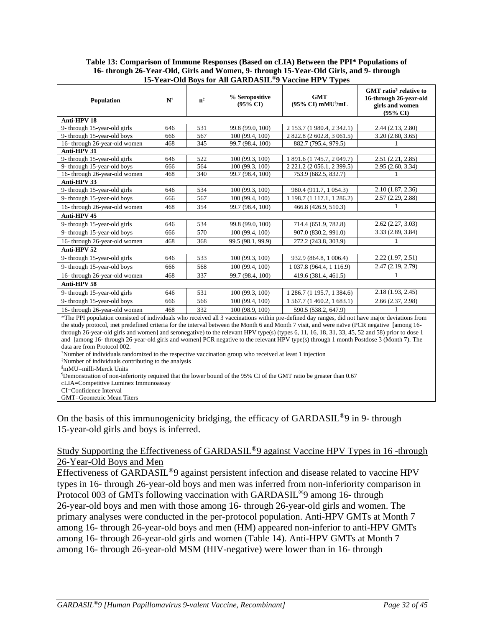### **Table 13: Comparison of Immune Responses (Based on cLIA) Between the PPI\* Populations of 16- through 26-Year-Old, Girls and Women, 9- through 15-Year-Old Girls, and 9- through 15-Year-Old Boys for All GARDASIL**®**9 Vaccine HPV Types**

| <b>Population</b>                                                                                                                              | $\mathbf{N}^{\dagger}$ | $n^{\ddagger}$ | % Seropositive<br>$(95\% \text{ CI})$ | <b>GMT</b><br>$(95\% \text{ CI}) \text{ mMU}^{\$}/\text{mL}$ | <b>GMT</b> ratio <sup>1</sup> relative to<br>16-through 26-year-old<br>girls and women<br>$(95\%$ CD |
|------------------------------------------------------------------------------------------------------------------------------------------------|------------------------|----------------|---------------------------------------|--------------------------------------------------------------|------------------------------------------------------------------------------------------------------|
| Anti-HPV 18                                                                                                                                    |                        |                |                                       |                                                              |                                                                                                      |
| 9- through 15-year-old girls                                                                                                                   | 646                    | 531            | 99.8 (99.0, 100)                      | 2 153.7 (1 980.4, 2 342.1)                                   | 2.44 (2.13, 2.80)                                                                                    |
| 9- through 15-year-old boys                                                                                                                    | 666                    | 567            | 100 (99.4, 100)                       | 2 822.8 (2 602.8, 3 061.5)                                   | 3.20(2.80, 3.65)                                                                                     |
| 16- through 26-year-old women                                                                                                                  | 468                    | 345            | 99.7 (98.4, 100)                      | 882.7 (795.4, 979.5)                                         |                                                                                                      |
| Anti-HPV 31                                                                                                                                    |                        |                |                                       |                                                              |                                                                                                      |
| 9- through 15-year-old girls                                                                                                                   | 646                    | 522            | 100 (99.3, 100)                       | 1 891.6 (1 745.7, 2 049.7)                                   | 2.51(2.21, 2.85)                                                                                     |
| 9- through 15-year-old boys                                                                                                                    | 666                    | 564            | 100 (99.3, 100)                       | 2 221.2 (2 056.1, 2 399.5)                                   | 2.95 (2.60, 3.34)                                                                                    |
| 16- through 26-year-old women                                                                                                                  | 468                    | 340            | 99.7 (98.4, 100)                      | 753.9 (682.5, 832.7)                                         |                                                                                                      |
| Anti-HPV 33                                                                                                                                    |                        |                |                                       |                                                              |                                                                                                      |
| 9- through 15-year-old girls                                                                                                                   | 646                    | 534            | 100 (99.3, 100)                       | 980.4 (911.7, 1 054.3)                                       | 2.10 (1.87, 2.36)                                                                                    |
| 9- through 15-year-old boys                                                                                                                    | 666                    | 567            | 100 (99.4, 100)                       | 1 198.7 (1 117.1, 1 286.2)                                   | 2.57(2.29, 2.88)                                                                                     |
| 16- through 26-year-old women                                                                                                                  | 468                    | 354            | 99.7 (98.4, 100)                      | 466.8 (426.9, 510.3)                                         |                                                                                                      |
| Anti-HPV 45                                                                                                                                    |                        |                |                                       |                                                              |                                                                                                      |
| 9- through 15-year-old girls                                                                                                                   | 646                    | 534            | 99.8 (99.0, 100)                      | 714.4 (651.9, 782.8)                                         | 2.62(2.27, 3.03)                                                                                     |
| 9- through 15-year-old boys                                                                                                                    | 666                    | 570            | 100 (99.4, 100)                       | 907.0 (830.2, 991.0)                                         | 3.33 (2.89, 3.84)                                                                                    |
| 16- through 26-year-old women                                                                                                                  | 468                    | 368            | 99.5 (98.1, 99.9)                     | 272.2 (243.8, 303.9)                                         |                                                                                                      |
| Anti-HPV 52                                                                                                                                    |                        |                |                                       |                                                              |                                                                                                      |
| 9- through 15-year-old girls                                                                                                                   | 646                    | 533            | 100 (99.3, 100)                       | 932.9 (864.8, 1 006.4)                                       | 2.22 (1.97, 2.51)                                                                                    |
| 9- through 15-year-old boys                                                                                                                    | 666                    | 568            | 100 (99.4, 100)                       | 1 037.8 (964.4, 1 116.9)                                     | 2.47 (2.19, 2.79)                                                                                    |
| 16- through 26-year-old women                                                                                                                  | 468                    | 337            | 99.7 (98.4, 100)                      | 419.6 (381.4, 461.5)                                         |                                                                                                      |
| Anti-HPV 58                                                                                                                                    |                        |                |                                       |                                                              |                                                                                                      |
| 9- through 15-year-old girls                                                                                                                   | 646                    | 531            | 100 (99.3, 100)                       | 1 286.7 (1 195.7, 1 384.6)                                   | 2.18(1.93, 2.45)                                                                                     |
| 9- through 15-year-old boys                                                                                                                    | 666                    | 566            | 100 (99.4, 100)                       | 1 567.7 (1 460.2, 1 683.1)                                   | 2.66(2.37, 2.98)                                                                                     |
| 16- through 26-year-old women                                                                                                                  | 468                    | 332            | 100 (98.9, 100)                       | 590.5 (538.2, 647.9)                                         |                                                                                                      |
| *The PPI population consisted of individuals who received all 3 vaccinations within pre-defined day ranges, did not have major deviations from |                        |                |                                       |                                                              |                                                                                                      |
| the study protocol, met predefined criteria for the interval between the Month 6 and Month 7 visit, and were naïve (PCR negative [among 16-    |                        |                |                                       |                                                              |                                                                                                      |

through 26-year-old girls and women] and seronegative) to the relevant HPV type(s) (types 6, 11, 16, 18, 31, 33, 45, 52 and 58) prior to dose 1 and [among 16- through 26-year-old girls and women] PCR negative to the relevant HPV type(s) through 1 month Postdose 3 (Month 7). The data are from Protocol 002.

†Number of individuals randomized to the respective vaccination group who received at least 1 injection

‡Number of individuals contributing to the analysis

§mMU=milli-Merck Units

¶Demonstration of non-inferiority required that the lower bound of the 95% CI of the GMT ratio be greater than 0.67

cLIA=Competitive Luminex Immunoassay

CI=Confidence Interval GMT=Geometric Mean Titers

On the basis of this immunogenicity bridging, the efficacy of  $GARDASIL^{\circledcirc}9$  in 9- through 15-year-old girls and boys is inferred.

# Study Supporting the Effectiveness of GARDASIL®9 against Vaccine HPV Types in 16 -through 26-Year-Old Boys and Men

Effectiveness of GARDASIL®9 against persistent infection and disease related to vaccine HPV types in 16- through 26-year-old boys and men was inferred from non-inferiority comparison in Protocol 003 of GMTs following vaccination with GARDASIL<sup>®</sup>9 among 16- through 26-year-old boys and men with those among 16- through 26-year-old girls and women. The primary analyses were conducted in the per-protocol population. Anti-HPV GMTs at Month 7 among 16- through 26-year-old boys and men (HM) appeared non-inferior to anti-HPV GMTs among 16- through 26-year-old girls and women (Table 14). Anti-HPV GMTs at Month 7 among 16- through 26-year-old MSM (HIV-negative) were lower than in 16- through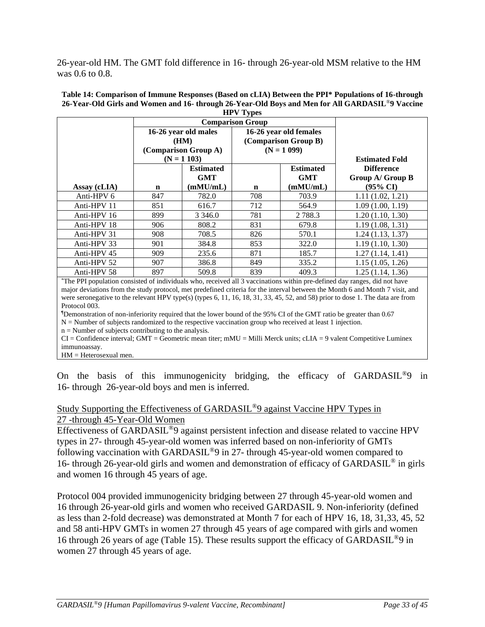26-year-old HM. The GMT fold difference in 16- through 26-year-old MSM relative to the HM was 0.6 to 0.8.

| $\mathbf{H}$ , $\mathbf{H}$ |                              |                  |                                                |                  |                       |  |
|-----------------------------|------------------------------|------------------|------------------------------------------------|------------------|-----------------------|--|
|                             | <b>Comparison Group</b>      |                  |                                                |                  |                       |  |
|                             | 16-26 year old males<br>(HM) |                  | 16-26 year old females<br>(Comparison Group B) |                  |                       |  |
|                             |                              |                  |                                                |                  |                       |  |
|                             | (Comparison Group A)         |                  | $(N = 1099)$                                   |                  |                       |  |
|                             | $(N = 1 103)$                |                  |                                                |                  | <b>Estimated Fold</b> |  |
|                             |                              | <b>Estimated</b> |                                                | <b>Estimated</b> | <b>Difference</b>     |  |
|                             |                              | <b>GMT</b>       |                                                | <b>GMT</b>       | Group A/ Group B      |  |
| Assay (cLIA)                | n                            | (mMU/mL)         | $\mathbf n$                                    | (mMU/mL)         | $(95\% \text{ CI})$   |  |
| Anti-HPV 6                  | 847                          | 782.0            | 708                                            | 703.9            | 1.11(1.02, 1.21)      |  |
| Anti-HPV 11                 | 851                          | 616.7            | 712                                            | 564.9            | 1.09(1.00, 1.19)      |  |
| Anti-HPV 16                 | 899                          | 3 3 4 6 .0       | 781                                            | 2 7 8 8 . 3      | 1.20(1.10, 1.30)      |  |
| Anti-HPV 18                 | 906                          | 808.2            | 831                                            | 679.8            | 1.19(1.08, 1.31)      |  |
| Anti-HPV 31                 | 908                          | 708.5            | 826                                            | 570.1            | 1.24(1.13, 1.37)      |  |
| Anti-HPV 33                 | 901                          | 384.8            | 853                                            | 322.0            | 1.19(1.10, 1.30)      |  |
| Anti-HPV 45                 | 909                          | 235.6            | 871                                            | 185.7            | 1.27(1.14, 1.41)      |  |
| Anti-HPV 52                 | 907                          | 386.8            | 849                                            | 335.2            | 1.15(1.05, 1.26)      |  |
| Anti-HPV 58                 | 897                          | 509.8            | 839                                            | 409.3            | 1.25(1.14, 1.36)      |  |

#### **Table 14: Comparison of Immune Responses (Based on cLIA) Between the PPI\* Populations of 16-through 26-Year-Old Girls and Women and 16- through 26-Year-Old Boys and Men for All GARDASIL**®**9 Vaccine HPV Types**

\*The PPI population consisted of individuals who, received all 3 vaccinations within pre-defined day ranges, did not have major deviations from the study protocol, met predefined criteria for the interval between the Month 6 and Month 7 visit, and were seronegative to the relevant HPV type(s) (types 6, 11, 16, 18, 31, 33, 45, 52, and 58) prior to dose 1. The data are from Protocol 003.

¶Demonstration of non-inferiority required that the lower bound of the 95% CI of the GMT ratio be greater than 0.67

 $N =$  Number of subjects randomized to the respective vaccination group who received at least 1 injection.

 $n =$  Number of subjects contributing to the analysis.

 $CI =$  Confidence interval; GMT = Geometric mean titer; mMU = Milli Merck units; cLIA = 9 valent Competitive Luminex immunoassay.

HM = Heterosexual men.

On the basis of this immunogenicity bridging, the efficacy of GARDASIL®9 in 16- through 26-year-old boys and men is inferred.

### Study Supporting the Effectiveness of GARDASIL®9 against Vaccine HPV Types in 27 -through 45-Year-Old Women

Effectiveness of GARDASIL®9 against persistent infection and disease related to vaccine HPV types in 27- through 45-year-old women was inferred based on non-inferiority of GMTs following vaccination with GARDASIL<sup>®</sup>9 in 27- through 45-year-old women compared to 16- through 26-year-old girls and women and demonstration of efficacy of GARDASIL® in girls and women 16 through 45 years of age.

Protocol 004 provided immunogenicity bridging between 27 through 45-year-old women and 16 through 26-year-old girls and women who received GARDASIL 9. Non-inferiority (defined as less than 2-fold decrease) was demonstrated at Month 7 for each of HPV 16, 18, 31,33, 45, 52 and 58 anti-HPV GMTs in women 27 through 45 years of age compared with girls and women 16 through 26 years of age (Table 15). These results support the efficacy of GARDASIL®9 in women 27 through 45 years of age.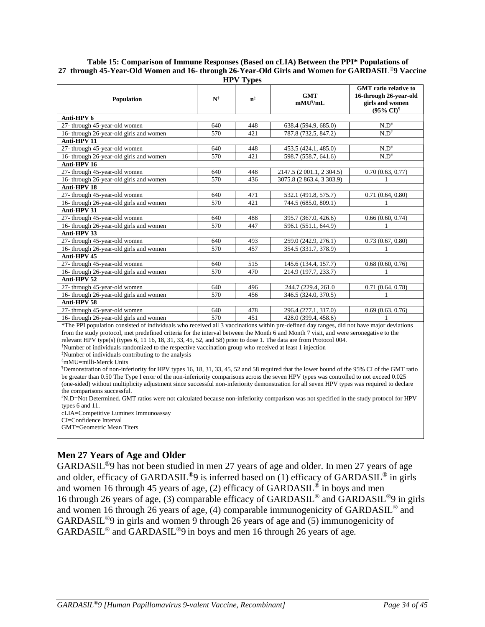#### **Table 15: Comparison of Immune Responses (Based on cLIA) Between the PPI\* Populations of 27 through 45-Year-Old Women and 16- through 26-Year-Old Girls and Women for GARDASIL**®**9 Vaccine HPV Types**

| пи у турсу                                                                                                                                |                        |                |                             |                                                                                                               |  |  |
|-------------------------------------------------------------------------------------------------------------------------------------------|------------------------|----------------|-----------------------------|---------------------------------------------------------------------------------------------------------------|--|--|
| Population                                                                                                                                | $\mathbf{N}^{\dagger}$ | $\mathbf{n}^*$ | <b>GMT</b><br>$mMU^{\S}/mL$ | <b>GMT</b> ratio relative to<br>16-through 26-year-old<br>girls and women<br>$(95\% \text{ CI})$ <sup>1</sup> |  |  |
| Anti-HPV 6                                                                                                                                |                        |                |                             |                                                                                                               |  |  |
| 27- through 45-year-old women                                                                                                             | 640                    | 448            | 638.4 (594.9, 685.0)        | $N.D^*$                                                                                                       |  |  |
| 16- through 26-year-old girls and women                                                                                                   | 570                    | 421            | 787.8 (732.5, 847.2)        | $N.D^*$                                                                                                       |  |  |
| Anti-HPV 11                                                                                                                               |                        |                |                             |                                                                                                               |  |  |
| 27- through 45-year-old women                                                                                                             | 640                    | 448            | 453.5 (424.1, 485.0)        | $N.D^*$                                                                                                       |  |  |
| 16- through 26-year-old girls and women                                                                                                   | 570                    | 421            | 598.7 (558.7, 641.6)        | $N.D^*$                                                                                                       |  |  |
| Anti-HPV 16                                                                                                                               |                        |                |                             |                                                                                                               |  |  |
| 27- through 45-year-old women                                                                                                             | 640                    | 448            | 2147.5 (2 001.1, 2 304.5)   | 0.70(0.63, 0.77)                                                                                              |  |  |
| 16- through 26-year-old girls and women                                                                                                   | 570                    | 436            | 3075.8 (2 863.4, 3 303.9)   |                                                                                                               |  |  |
| Anti-HPV 18                                                                                                                               |                        |                |                             |                                                                                                               |  |  |
| 27- through 45-year-old women                                                                                                             | 640                    | 471            | 532.1 (491.8, 575.7)        | 0.71(0.64, 0.80)                                                                                              |  |  |
| 16- through 26-year-old girls and women                                                                                                   | 570                    | 421            | 744.5 (685.0, 809.1)        |                                                                                                               |  |  |
| Anti-HPV 31                                                                                                                               |                        |                |                             |                                                                                                               |  |  |
| 27- through 45-year-old women                                                                                                             | 640                    | 488            | 395.7 (367.0, 426.6)        | 0.66(0.60, 0.74)                                                                                              |  |  |
| 16- through 26-year-old girls and women                                                                                                   | 570                    | 447            | 596.1 (551.1, 644.9)        |                                                                                                               |  |  |
| Anti-HPV 33                                                                                                                               |                        |                |                             |                                                                                                               |  |  |
| 27- through 45-year-old women                                                                                                             | 640                    | 493            | 259.0 (242.9, 276.1)        | 0.73(0.67, 0.80)                                                                                              |  |  |
| 16- through 26-year-old girls and women                                                                                                   | 570                    | 457            | 354.5 (331.7, 378.9)        |                                                                                                               |  |  |
| Anti-HPV 45                                                                                                                               |                        |                |                             |                                                                                                               |  |  |
| 27- through 45-year-old women                                                                                                             | 640                    | 515            | 145.6 (134.4, 157.7)        | 0.68(0.60, 0.76)                                                                                              |  |  |
| 16- through 26-year-old girls and women                                                                                                   | 570                    | 470            | 214.9 (197.7, 233.7)        |                                                                                                               |  |  |
| Anti-HPV 52                                                                                                                               |                        |                |                             |                                                                                                               |  |  |
| 27- through 45-year-old women                                                                                                             | 640                    | 496            | 244.7 (229.4, 261.0)        | 0.71(0.64, 0.78)                                                                                              |  |  |
| 16- through 26-year-old girls and women                                                                                                   | 570                    | 456            | 346.5 (324.0, 370.5)        |                                                                                                               |  |  |
| Anti-HPV 58                                                                                                                               |                        |                |                             |                                                                                                               |  |  |
| 27- through 45-year-old women                                                                                                             | 640                    | 478            | 296.4 (277.1, 317.0)        | 0.69(0.63, 0.76)                                                                                              |  |  |
| 16- through 26-year-old girls and women                                                                                                   | 570                    | 451            | 428.0 (399.4, 458.6)        |                                                                                                               |  |  |
| *The DDI nomination consisted of individuals who measured all 2 yearsingtons within nua defined day manage did not have major deviations. |                        |                |                             |                                                                                                               |  |  |

The PPI population consisted of individuals who received all 3 vaccinations within pre-defined day ranges, did not have major deviations from the study protocol, met predefined criteria for the interval between the Month 6 and Month 7 visit, and were seronegative to the relevant HPV type(s) (types 6, 11 16, 18, 31, 33, 45, 52, and 58) prior to dose 1. The data are from Protocol 004.

†Number of individuals randomized to the respective vaccination group who received at least 1 injection

‡Number of individuals contributing to the analysis

§mMU=milli-Merck Units

¶Demonstration of non-inferiority for HPV types 16, 18, 31, 33, 45, 52 and 58 required that the lower bound of the 95% CI of the GMT ratio be greater than 0.50 The Type I error of the non-inferiority comparisons across the seven HPV types was controlled to not exceed 0.025 (one-sided) without multiplicity adjustment since successful non-inferiority demonstration for all seven HPV types was required to declare the comparisons successful.

#N.D=Not Determined. GMT ratios were not calculated because non-inferiority comparison was not specified in the study protocol for HPV types 6 and 11.

cLIA=Competitive Luminex Immunoassay

GMT=Geometric Mean Titers

# **Men 27 Years of Age and Older**

GARDASIL®9 has not been studied in men 27 years of age and older. In men 27 years of age and older, efficacy of GARDASIL<sup>®</sup>9 is inferred based on (1) efficacy of GARDASIL<sup>®</sup> in girls and women 16 through 45 years of age, (2) efficacy of  $\widehat{GARDASIL}^{\otimes}$  in boys and men 16 through 26 years of age, (3) comparable efficacy of GARDASIL® and GARDASIL®9 in girls and women 16 through 26 years of age, (4) comparable immunogenicity of GARDASIL® and GARDASIL®9 in girls and women 9 through 26 years of age and (5) immunogenicity of GARDASIL® and GARDASIL®9 in boys and men 16 through 26 years of age*.*

CI=Confidence Interval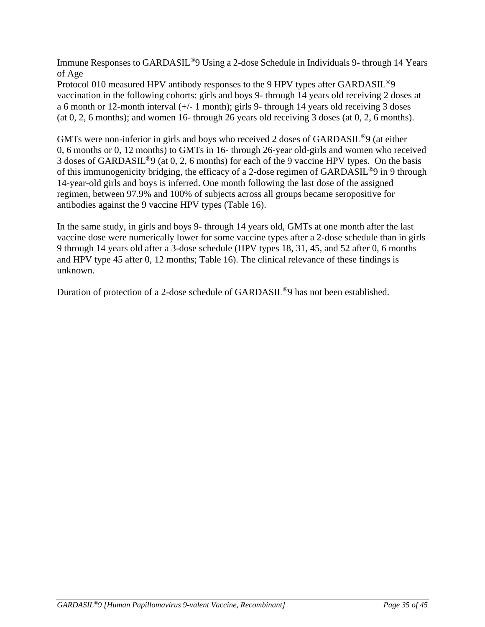Immune Responses to GARDASIL®9 Using a 2-dose Schedule in Individuals 9- through 14 Years of Age

Protocol 010 measured HPV antibody responses to the 9 HPV types after GARDASIL<sup>®</sup>9 vaccination in the following cohorts: girls and boys 9- through 14 years old receiving 2 doses at a 6 month or 12-month interval (+/- 1 month); girls 9- through 14 years old receiving 3 doses (at  $0, 2, 6$  months); and women 16- through 26 years old receiving 3 doses (at  $0, 2, 6$  months).

GMTs were non-inferior in girls and boys who received 2 doses of GARDASIL®9 (at either 0, 6 months or 0, 12 months) to GMTs in 16- through 26-year old-girls and women who received 3 doses of GARDASIL®9 (at 0, 2, 6 months) for each of the 9 vaccine HPV types. On the basis of this immunogenicity bridging, the efficacy of a 2-dose regimen of GARDASIL®9 in 9 through 14-year-old girls and boys is inferred. One month following the last dose of the assigned regimen, between 97.9% and 100% of subjects across all groups became seropositive for antibodies against the 9 vaccine HPV types (Table 16).

In the same study, in girls and boys 9- through 14 years old, GMTs at one month after the last vaccine dose were numerically lower for some vaccine types after a 2-dose schedule than in girls 9 through 14 years old after a 3-dose schedule (HPV types 18, 31, 45, and 52 after 0, 6 months and HPV type 45 after 0, 12 months; Table 16). The clinical relevance of these findings is unknown.

Duration of protection of a 2-dose schedule of GARDASIL®9 has not been established.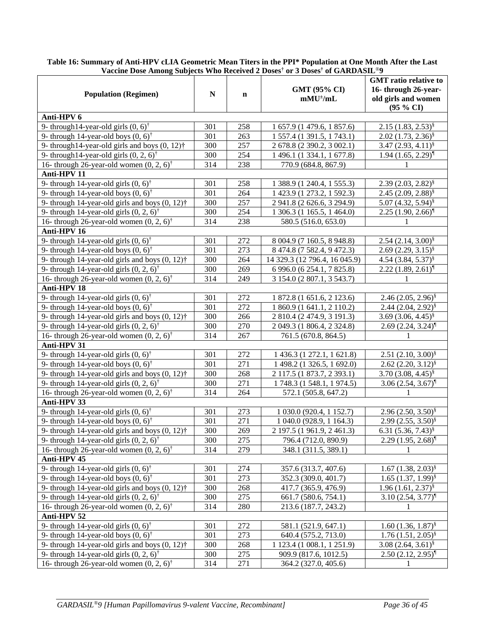|                                                              |           |             | vaccine Dose Alhong Subjects who received 2 Doses' of 3 Doses' of GARDASIL $\beta$ |                                    |
|--------------------------------------------------------------|-----------|-------------|------------------------------------------------------------------------------------|------------------------------------|
|                                                              | ${\bf N}$ | $\mathbf n$ |                                                                                    | <b>GMT</b> ratio relative to       |
| <b>Population (Regimen)</b>                                  |           |             | GMT (95% CI)                                                                       | 16- through 26-year-               |
|                                                              |           |             | $mMU^{\pm}/mL$                                                                     | old girls and women                |
|                                                              |           |             |                                                                                    | (95 % CI)                          |
| Anti-HPV 6                                                   |           |             |                                                                                    |                                    |
| 9- through 14-year-old girls $(0, 6)$ <sup>†</sup>           | 301       | 258         | 1 657.9 (1 479.6, 1 857.6)                                                         | $2.15(1.83, 2.53)^8$               |
| 9- through 14-year-old boys $(0, 6)$ <sup>†</sup>            | 301       | 263         | 1 557.4 (1 391.5, 1 743.1)                                                         | $2.02 (1.73, 2.36)^8$              |
| 9- through 14-year-old girls and boys $(0, 12)$ <sup>†</sup> | 300       | 257         | 2 678.8 (2 390.2, 3 002.1)                                                         | $3.47(2.93, 4.11)^{8}$             |
| 9- through 14-year-old girls $(0, 2, 6)$ <sup>†</sup>        | 300       | 254         | 1 496.1 (1 334.1, 1 677.8)                                                         | $1.94$ $(1.65, 2.29)$ <sup>1</sup> |
| 16- through 26-year-old women $(0, 2, 6)$ <sup>†</sup>       | 314       | 238         | 770.9 (684.8, 867.9)                                                               | 1                                  |
| Anti-HPV 11                                                  |           |             |                                                                                    |                                    |
| 9- through 14-year-old girls $(0, 6)$ <sup>†</sup>           | 301       | 258         | 1 388.9 (1 240.4, 1 555.3)                                                         | $2.39(2.03, 2.82)^8$               |
| 9- through 14-year-old boys $(0, 6)$ <sup>†</sup>            | 301       | 264         | 1 423.9 (1 273.2, 1 592.3)                                                         | $2.45(2.09, 2.88)^8$               |
| 9- through 14-year-old girls and boys $(0, 12)$ <sup>†</sup> | 300       | 257         | 2 941.8 (2 626.6, 3 294.9)                                                         | 5.07 $(4.32, 5.94)^{\S}$           |
| 9- through 14-year-old girls $(0, 2, 6)$ <sup>†</sup>        | 300       | 254         | 1 306.3 (1 165.5, 1 464.0)                                                         | $2.25(1.90, 2.66)$ <sup>[1</sup> ] |
| 16- through 26-year-old women $(0, 2, 6)$ <sup>†</sup>       | 314       | 238         | 580.5 (516.0, 653.0)                                                               | 1                                  |
| Anti-HPV 16                                                  |           |             |                                                                                    |                                    |
| 9- through 14-year-old girls $(0, 6)$ <sup>†</sup>           | 301       | 272         | 8 004.9 (7 160.5, 8 948.8)                                                         | $2.54(2.14, 3.00)^8$               |
| 9- through 14-year-old boys $(0, 6)$ <sup>†</sup>            | 301       | 273         | 8 474.8 (7 582.4, 9 472.3)                                                         | $2.69(2.29, 3.15)^8$               |
| 9- through 14-year-old girls and boys $(0, 12)$ <sup>†</sup> | 300       | 264         | 14 329.3 (12 796.4, 16 045.9)                                                      | 4.54 $(3.84, 5.37)^{\frac{8}{5}}$  |
| 9- through 14-year-old girls $(0, 2, 6)$ <sup>†</sup>        | 300       | 269         | 6 996.0 (6 254.1, 7 825.8)                                                         | $2.22 (1.89, 2.61)^$               |
| 16- through 26-year-old women $(0, 2, 6)$ <sup>†</sup>       | 314       | 249         | 3 154.0 (2 807.1, 3 543.7)                                                         | 1                                  |
| Anti-HPV 18                                                  |           |             |                                                                                    |                                    |
| 9- through 14-year-old girls $(0, 6)$ <sup>†</sup>           | 301       | 272         | 1 872.8 (1 651.6, 2 123.6)                                                         | $2.46(2.05, 2.96)^8$               |
| 9- through 14-year-old boys $(0, 6)$ <sup>†</sup>            | 301       | 272         | 1 860.9 (1 641.1, 2 110.2)                                                         | $2.44(2.04, 2.92)^{8}$             |
| 9- through 14-year-old girls and boys $(0, 12)$ <sup>†</sup> | 300       | 266         | 2 810.4 (2 474.9, 3 191.3)                                                         | 3.69 $(3.06, 4.45)^{\$}$           |
| 9- through 14-year-old girls $(0, 2, 6)$ <sup>†</sup>        | 300       | 270         | 2 049.3 (1 806.4, 2 324.8)                                                         | $2.69(2.24, 3.24)$ <sup>1</sup>    |
| 16- through 26-year-old women $(0, 2, 6)$ <sup>†</sup>       | 314       | 267         | 761.5 (670.8, 864.5)                                                               | 1                                  |
| Anti-HPV 31                                                  |           |             |                                                                                    |                                    |
| 9- through 14-year-old girls $(0, 6)$ <sup>†</sup>           | 301       | 272         | 1 436.3 (1 272.1, 1 621.8)                                                         | $2.51(2.10, 3.00)^8$               |
| 9- through 14-year-old boys $(0, 6)$ <sup>†</sup>            | 301       | 271         | 1 498.2 (1 326.5, 1 692.0)                                                         | $2.62 (2.20, 3.12)^8$              |
| 9- through 14-year-old girls and boys $(0, 12)$ <sup>†</sup> | 300       | 268         | 2 117.5 (1 873.7, 2 393.1)                                                         | 3.70 $(3.08, 4.45)^{\S}$           |
| 9- through 14-year-old girls $(0, 2, 6)$ <sup>†</sup>        | 300       | 271         | 1 748.3 (1 548.1, 1 974.5)                                                         | $3.06(2.54, 3.67)^{1}$             |
| 16- through 26-year-old women $(0, 2, 6)$ <sup>†</sup>       | 314       | 264         | 572.1 (505.8, 647.2)                                                               | 1                                  |
| Anti-HPV 33                                                  |           |             |                                                                                    |                                    |
| 9- through 14-year-old girls $(0, 6)$ <sup>†</sup>           | 301       | 273         | 1 030.0 (920.4, 1 152.7)                                                           | $2.96(2.50, 3.50)^8$               |
| 9- through 14-year-old boys $(0, 6)$ <sup>†</sup>            | 301       | 271         | 1 040.0 (928.9, 1 164.3)                                                           | $2.99(2.55, 3.50)^8$               |
| 9- through 14-year-old girls and boys $(0, 12)$ <sup>†</sup> | 300       | 269         | 2 197.5 (1 961.9, 2 461.3)                                                         | 6.31 $(5.36, 7.43)^{8}$            |
| 9- through 14-year-old girls $(0, 2, 6)$ <sup>†</sup>        | 300       | 275         | 796.4 (712.0, 890.9)                                                               | $2.29(1.95, 2.68)$ <sup>[1</sup> ] |
| 16- through 26-year-old women $(0, 2, 6)$ <sup>†</sup>       | 314       | 279         | 348.1 (311.5, 389.1)                                                               | 1                                  |
| Anti-HPV 45                                                  |           |             |                                                                                    |                                    |
| 9- through 14-year-old girls $(0, 6)$ <sup>†</sup>           | 301       | 274         | 357.6 (313.7, 407.6)                                                               | $1.67(1.38, 2.03)^8$               |
| 9- through 14-year-old boys $(0, 6)$ <sup>†</sup>            | 301       | 273         | 352.3 (309.0, 401.7)                                                               | $1.65(1.37, 1.99)^{8}$             |
| 9- through 14-year-old girls and boys $(0, 12)$ <sup>†</sup> | 300       | 268         | 417.7 (365.9, 476.9)                                                               | $1.96(1.61, 2.37)^{8}$             |
| 9- through 14-year-old girls $(0, 2, 6)$ <sup>†</sup>        | 300       | 275         | 661.7 (580.6, 754.1)                                                               | $3.10(2.54, 3.77)^$                |
| 16- through 26-year-old women $(0, 2, 6)$ <sup>†</sup>       | 314       | 280         | 213.6 (187.7, 243.2)                                                               | 1                                  |
| Anti-HPV 52                                                  |           |             |                                                                                    |                                    |
| 9- through 14-year-old girls $(0, 6)$ <sup>†</sup>           | 301       | 272         | 581.1 (521.9, 647.1)                                                               | $1.60(1.36, 1.87)^{§}$             |
| 9- through 14-year-old boys $(0, 6)$ <sup>†</sup>            | 301       | 273         | 640.4 (575.2, 713.0)                                                               | $1.76(1.51, 2.05)^{8}$             |
| 9- through 14-year-old girls and boys $(0, 12)$ <sup>†</sup> | 300       | 268         | 1 123.4 (1 008.1, 1 251.9)                                                         | $3.08(2.64, 3.61)^8$               |
| 9- through 14-year-old girls $(0, 2, 6)$ <sup>†</sup>        | 300       | 275         | 909.9 (817.6, 1012.5)                                                              | $2.50(2.12, 2.95)^$                |
| 16- through 26-year-old women $(0, 2, 6)$ <sup>†</sup>       | 314       | 271         | 364.2 (327.0, 405.6)                                                               | 1                                  |
|                                                              |           |             |                                                                                    |                                    |

**Table 16: Summary of Anti-HPV cLIA Geometric Mean Titers in the PPI\* Population at One Month After the Last Vaccine Dose Among Subjects Who Received 2 Doses† or 3 Doses† of GARDASIL**®**9**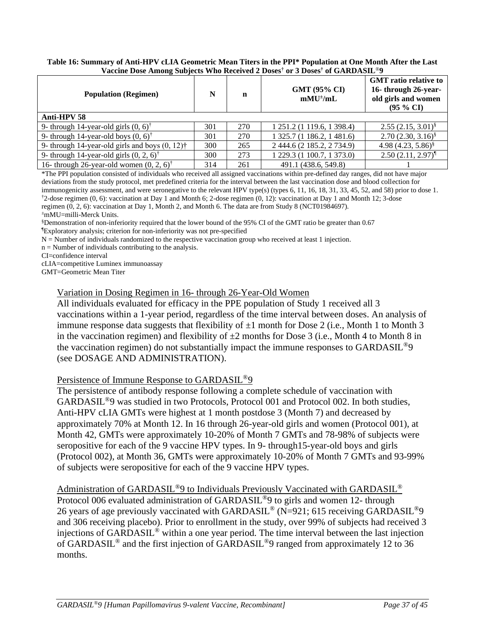### **Table 16: Summary of Anti-HPV cLIA Geometric Mean Titers in the PPI\* Population at One Month After the Last Vaccine Dose Among Subjects Who Received 2 Doses† or 3 Doses† of GARDASIL**®**9**

| <b>Population (Regimen)</b>                                  | N   | n   | <b>GMT (95% CI)</b><br>$m$ MU <sup><math>\pm</math></sup> /mL | <b>GMT</b> ratio relative to<br>16- through 26-year-<br>old girls and women<br>$(95 \% CI)$ |
|--------------------------------------------------------------|-----|-----|---------------------------------------------------------------|---------------------------------------------------------------------------------------------|
| Anti-HPV 58                                                  |     |     |                                                               |                                                                                             |
| 9- through 14-year-old girls $(0, 6)$ <sup>†</sup>           | 301 | 270 | 1 251.2 (1 119.6, 1 398.4)                                    | $2.55(2.15, 3.01)^8$                                                                        |
| 9- through 14-year-old boys $(0, 6)$ <sup>†</sup>            | 301 | 270 | 1 325.7 (1 186.2, 1 481.6)                                    | $2.70(2.30, 3.16)^8$                                                                        |
| 9- through 14-year-old girls and boys $(0, 12)$ <sup>†</sup> | 300 | 265 | 2 444.6 (2 185.2, 2 734.9)                                    | 4.98 $(4.23, 5.86)^{\S}$                                                                    |
| 9- through 14-year-old girls $(0, 2, 6)$ <sup>†</sup>        | 300 | 273 | 1 229.3 (1 100.7, 1 373.0)                                    | $2.50(2.11, 2.97)^$                                                                         |
| 16- through 26-year-old women $(0, 2, 6)$ <sup>†</sup>       | 314 | 261 | 491.1 (438.6, 549.8)                                          |                                                                                             |

\*The PPI population consisted of individuals who received all assigned vaccinations within pre-defined day ranges, did not have major deviations from the study protocol, met predefined criteria for the interval between the last vaccination dose and blood collection for immunogenicity assessment, and were seronegative to the relevant HPV type(s) (types 6, 11, 16, 18, 31, 33, 45, 52, and 58) prior to dose 1.  $\dot{\gamma}$ 2-dose regimen (0, 6): vaccination at Day 1 and Month 6; 2-dose regimen (0, 12): vaccination at Day 1 and Month 12; 3-dose regimen (0, 2, 6): vaccination at Day 1, Month 2, and Month 6. The data are from Study 8 (NCT01984697).

<sup>±</sup>mMU=milli-Merck Units.

§Demonstration of non-inferiority required that the lower bound of the 95% CI of the GMT ratio be greater than 0.67

¶Exploratory analysis; criterion for non-inferiority was not pre-specified

N = Number of individuals randomized to the respective vaccination group who received at least 1 injection.

n = Number of individuals contributing to the analysis.

CI=confidence interval

cLIA=competitive Luminex immunoassay

GMT=Geometric Mean Titer

### Variation in Dosing Regimen in 16- through 26-Year-Old Women

All individuals evaluated for efficacy in the PPE population of Study 1 received all 3 vaccinations within a 1-year period, regardless of the time interval between doses. An analysis of immune response data suggests that flexibility of  $\pm 1$  month for Dose 2 (i.e., Month 1 to Month 3 in the vaccination regimen) and flexibility of  $\pm 2$  months for Dose 3 (i.e., Month 4 to Month 8 in the vaccination regimen) do not substantially impact the immune responses to GARDASIL<sup>®</sup>9 (see DOSAGE AND ADMINISTRATION).

### Persistence of Immune Response to GARDASIL<sup>®9</sup>

The persistence of antibody response following a complete schedule of vaccination with GARDASIL®9 was studied in two Protocols, Protocol 001 and Protocol 002. In both studies, Anti-HPV cLIA GMTs were highest at 1 month postdose 3 (Month 7) and decreased by approximately 70% at Month 12. In 16 through 26-year-old girls and women (Protocol 001), at Month 42, GMTs were approximately 10-20% of Month 7 GMTs and 78-98% of subjects were seropositive for each of the 9 vaccine HPV types. In 9- through15-year-old boys and girls (Protocol 002), at Month 36, GMTs were approximately 10-20% of Month 7 GMTs and 93-99% of subjects were seropositive for each of the 9 vaccine HPV types.

Administration of GARDASIL*®*9 to Individuals Previously Vaccinated with GARDASIL®

Protocol 006 evaluated administration of GARDASIL<sup>®9</sup> to girls and women 12- through 26 years of age previously vaccinated with GARDASIL® (N=921; 615 receiving GARDASIL®9 and 306 receiving placebo). Prior to enrollment in the study, over 99% of subjects had received 3 injections of GARDASIL® within a one year period. The time interval between the last injection of GARDASIL® and the first injection of GARDASIL®9 ranged from approximately 12 to 36 months.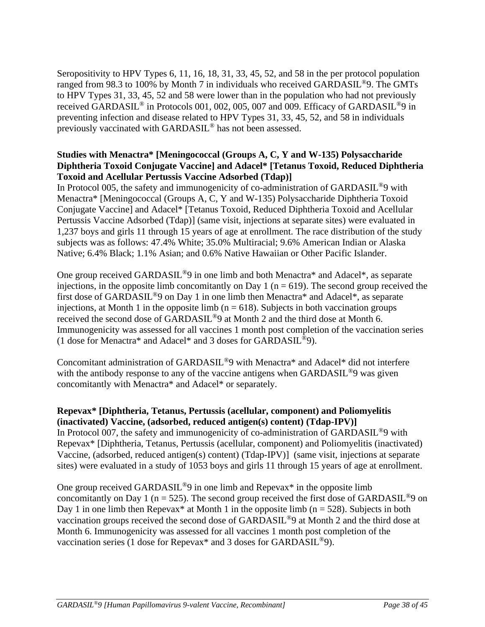Seropositivity to HPV Types 6, 11, 16, 18, 31, 33, 45, 52, and 58 in the per protocol population ranged from 98.3 to 100% by Month 7 in individuals who received GARDASIL®9. The GMTs to HPV Types 31, 33, 45, 52 and 58 were lower than in the population who had not previously received GARDASIL® in Protocols 001, 002, 005, 007 and 009. Efficacy of GARDASIL®9 in preventing infection and disease related to HPV Types 31, 33, 45, 52, and 58 in individuals previously vaccinated with GARDASIL® has not been assessed.

## **Studies with Menactra\* [Meningococcal (Groups A, C, Y and W-135) Polysaccharide Diphtheria Toxoid Conjugate Vaccine] and Adacel\* [Tetanus Toxoid, Reduced Diphtheria Toxoid and Acellular Pertussis Vaccine Adsorbed (Tdap)]**

In Protocol 005, the safety and immunogenicity of co-administration of GARDASIL<sup>®</sup>9 with Menactra\* [Meningococcal (Groups A, C, Y and W-135) Polysaccharide Diphtheria Toxoid Conjugate Vaccine] and Adacel\* [Tetanus Toxoid, Reduced Diphtheria Toxoid and Acellular Pertussis Vaccine Adsorbed (Tdap)] (same visit, injections at separate sites) were evaluated in 1,237 boys and girls 11 through 15 years of age at enrollment. The race distribution of the study subjects was as follows: 47.4% White; 35.0% Multiracial; 9.6% American Indian or Alaska Native; 6.4% Black; 1.1% Asian; and 0.6% Native Hawaiian or Other Pacific Islander.

One group received GARDASIL®9 in one limb and both Menactra\* and Adacel\*, as separate injections, in the opposite limb concomitantly on Day 1 ( $n = 619$ ). The second group received the first dose of GARDASIL®9 on Day 1 in one limb then Menactra\* and Adacel\*, as separate injections, at Month 1 in the opposite limb ( $n = 618$ ). Subjects in both vaccination groups received the second dose of GARDASIL®9 at Month 2 and the third dose at Month 6. Immunogenicity was assessed for all vaccines 1 month post completion of the vaccination series (1 dose for Menactra\* and Adacel\* and 3 doses for GARDASIL®9).

Concomitant administration of GARDASIL®9 with Menactra\* and Adacel\* did not interfere with the antibody response to any of the vaccine antigens when GARDASIL<sup>®</sup>9 was given concomitantly with Menactra\* and Adacel\* or separately.

# **Repevax\* [Diphtheria, Tetanus, Pertussis (acellular, component) and Poliomyelitis (inactivated) Vaccine, (adsorbed, reduced antigen(s) content) (Tdap-IPV)]**

In Protocol 007, the safety and immunogenicity of co-administration of GARDASIL®9 with Repevax\* [Diphtheria, Tetanus, Pertussis (acellular, component) and Poliomyelitis (inactivated) Vaccine, (adsorbed, reduced antigen(s) content) (Tdap-IPV)] (same visit, injections at separate sites) were evaluated in a study of 1053 boys and girls 11 through 15 years of age at enrollment.

One group received GARDASIL®9 in one limb and Repevax\* in the opposite limb concomitantly on Day 1 (n = 525). The second group received the first dose of GARDASIL<sup>®</sup>9 on Day 1 in one limb then Repevax\* at Month 1 in the opposite limb ( $n = 528$ ). Subjects in both vaccination groups received the second dose of GARDASIL®9 at Month 2 and the third dose at Month 6. Immunogenicity was assessed for all vaccines 1 month post completion of the vaccination series (1 dose for Repevax\* and 3 doses for GARDASIL®9).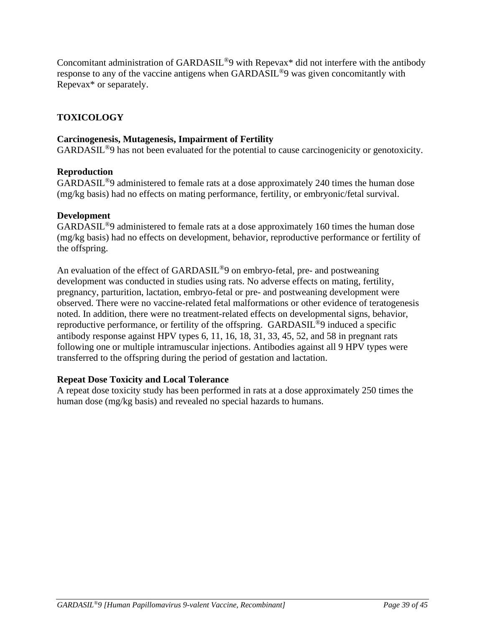Concomitant administration of GARDASIL®9 with Repevax\* did not interfere with the antibody response to any of the vaccine antigens when GARDASIL®9 was given concomitantly with Repevax\* or separately.

# **TOXICOLOGY**

# **Carcinogenesis, Mutagenesis, Impairment of Fertility**

GARDASIL®9 has not been evaluated for the potential to cause carcinogenicity or genotoxicity.

# **Reproduction**

GARDASIL®9 administered to female rats at a dose approximately 240 times the human dose (mg/kg basis) had no effects on mating performance, fertility, or embryonic/fetal survival.

# **Development**

GARDASIL®9 administered to female rats at a dose approximately 160 times the human dose (mg/kg basis) had no effects on development, behavior, reproductive performance or fertility of the offspring.

An evaluation of the effect of GARDASIL<sup>®</sup>9 on embryo-fetal, pre- and postweaning development was conducted in studies using rats. No adverse effects on mating, fertility, pregnancy, parturition, lactation, embryo-fetal or pre- and postweaning development were observed. There were no vaccine-related fetal malformations or other evidence of teratogenesis noted. In addition, there were no treatment-related effects on developmental signs, behavior, reproductive performance, or fertility of the offspring. GARDASIL®9 induced a specific antibody response against HPV types 6, 11, 16, 18, 31, 33, 45, 52, and 58 in pregnant rats following one or multiple intramuscular injections. Antibodies against all 9 HPV types were transferred to the offspring during the period of gestation and lactation.

# **Repeat Dose Toxicity and Local Tolerance**

A repeat dose toxicity study has been performed in rats at a dose approximately 250 times the human dose (mg/kg basis) and revealed no special hazards to humans.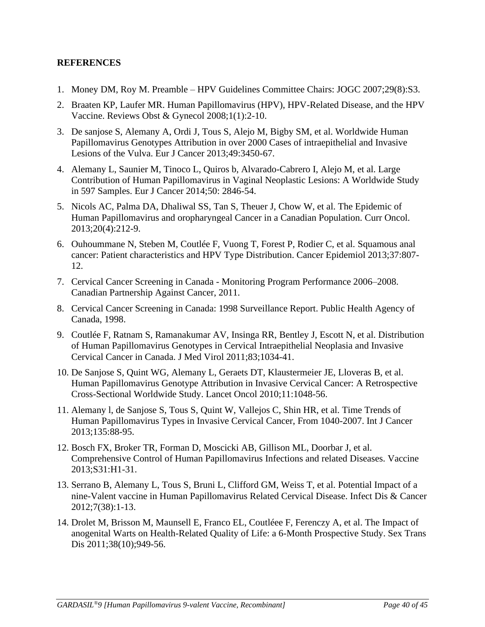# **REFERENCES**

- 1. Money DM, Roy M. Preamble HPV Guidelines Committee Chairs: JOGC 2007;29(8):S3.
- 2. Braaten KP, Laufer MR. Human Papillomavirus (HPV), HPV-Related Disease, and the HPV Vaccine. Reviews Obst & Gynecol 2008;1(1):2-10.
- 3. De sanjose S, Alemany A, Ordi J, Tous S, Alejo M, Bigby SM, et al. Worldwide Human Papillomavirus Genotypes Attribution in over 2000 Cases of intraepithelial and Invasive Lesions of the Vulva. Eur J Cancer 2013;49:3450-67.
- 4. Alemany L, Saunier M, Tinoco L, Quiros b, Alvarado-Cabrero I, Alejo M, et al. Large Contribution of Human Papillomavirus in Vaginal Neoplastic Lesions: A Worldwide Study in 597 Samples. Eur J Cancer 2014;50: 2846-54.
- 5. Nicols AC, Palma DA, Dhaliwal SS, Tan S, Theuer J, Chow W, et al. The Epidemic of Human Papillomavirus and oropharyngeal Cancer in a Canadian Population. Curr Oncol. 2013;20(4):212-9.
- 6. Ouhoummane N, Steben M, Coutlée F, Vuong T, Forest P, Rodier C, et al. Squamous anal cancer: Patient characteristics and HPV Type Distribution. Cancer Epidemiol 2013;37:807- 12.
- 7. Cervical Cancer Screening in Canada Monitoring Program Performance 2006–2008. Canadian Partnership Against Cancer, 2011.
- 8. Cervical Cancer Screening in Canada: 1998 Surveillance Report. Public Health Agency of Canada, 1998.
- 9. Coutlée F, Ratnam S, Ramanakumar AV, Insinga RR, Bentley J, Escott N, et al. Distribution of Human Papillomavirus Genotypes in Cervical Intraepithelial Neoplasia and Invasive Cervical Cancer in Canada. J Med Virol 2011;83;1034-41.
- 10. De Sanjose S, Quint WG, Alemany L, Geraets DT, Klaustermeier JE, Lloveras B, et al. Human Papillomavirus Genotype Attribution in Invasive Cervical Cancer: A Retrospective Cross-Sectional Worldwide Study. Lancet Oncol 2010;11:1048-56.
- 11. Alemany l, de Sanjose S, Tous S, Quint W, Vallejos C, Shin HR, et al. Time Trends of Human Papillomavirus Types in Invasive Cervical Cancer, From 1040-2007. Int J Cancer 2013;135:88-95.
- 12. Bosch FX, Broker TR, Forman D, Moscicki AB, Gillison ML, Doorbar J, et al. Comprehensive Control of Human Papillomavirus Infections and related Diseases. Vaccine 2013;S31:H1-31.
- 13. Serrano B, Alemany L, Tous S, Bruni L, Clifford GM, Weiss T, et al. Potential Impact of a nine-Valent vaccine in Human Papillomavirus Related Cervical Disease. Infect Dis & Cancer 2012;7(38):1-13.
- 14. Drolet M, Brisson M, Maunsell E, Franco EL, Coutléee F, Ferenczy A, et al. The Impact of anogenital Warts on Health-Related Quality of Life: a 6-Month Prospective Study. Sex Trans Dis 2011;38(10);949-56.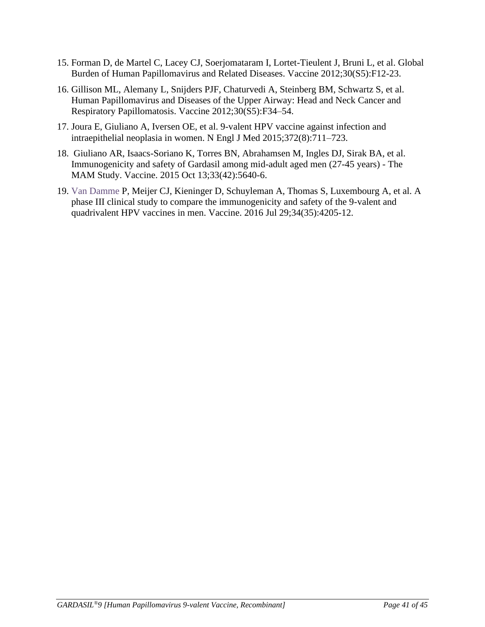- 15. Forman D, de Martel C, Lacey CJ, Soerjomataram I, Lortet-Tieulent J, Bruni L, et al. Global Burden of Human Papillomavirus and Related Diseases. Vaccine 2012;30(S5):F12-23.
- 16. Gillison ML, Alemany L, Snijders PJF, Chaturvedi A, Steinberg BM, Schwartz S, et al. Human Papillomavirus and Diseases of the Upper Airway: Head and Neck Cancer and Respiratory Papillomatosis. Vaccine 2012;30(S5):F34–54.
- 17. Joura E, Giuliano A, Iversen OE, et al. 9-valent HPV vaccine against infection and intraepithelial neoplasia in women. N Engl J Med 2015;372(8):711–723.
- 18. Giuliano AR, Isaacs-Soriano K, Torres BN, Abrahamsen M, Ingles DJ, Sirak BA, et al. Immunogenicity and safety of Gardasil among mid-adult aged men (27-45 years) - The MAM Study. Vaccine. 2015 Oct 13;33(42):5640-6.
- 19. Van Damme P, Meijer CJ, Kieninger D, Schuyleman A, Thomas S, Luxembourg A, et al. A phase III clinical study to compare the immunogenicity and safety of the 9-valent and quadrivalent HPV vaccines in men. Vaccine. 2016 Jul 29;34(35):4205-12.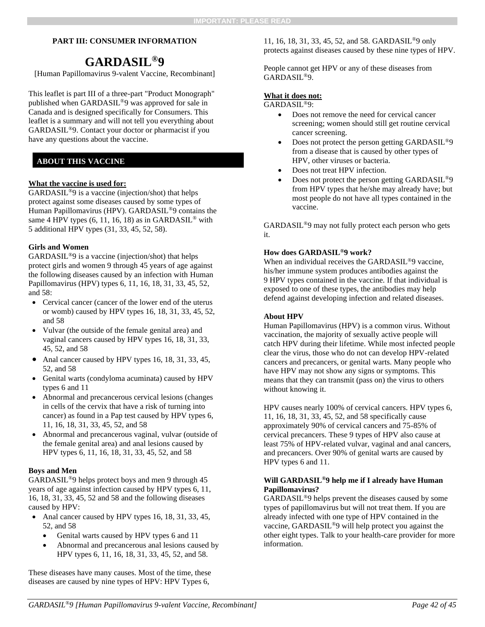### **PART III: CONSUMER INFORMATION**

# **GARDASIL® 9**

[Human Papillomavirus 9-valent Vaccine, Recombinant]

This leaflet is part III of a three-part "Product Monograph" published when GARDASIL®9 was approved for sale in Canada and is designed specifically for Consumers. This leaflet is a summary and will not tell you everything about GARDASIL®9. Contact your doctor or pharmacist if you have any questions about the vaccine.

## **ABOUT THIS VACCINE**

### **What the vaccine is used for:**

GARDASIL®9 is a vaccine (injection/shot) that helps protect against some diseases caused by some types of Human Papillomavirus (HPV). GARDASIL®9 contains the same 4 HPV types  $(6, 11, 16, 18)$  as in GARDASIL<sup>®</sup> with 5 additional HPV types (31, 33, 45, 52, 58).

### **Girls and Women**

GARDASIL®9 is a vaccine (injection/shot) that helps protect girls and women 9 through 45 years of age against the following diseases caused by an infection with Human Papillomavirus (HPV) types 6, 11, 16, 18, 31, 33, 45, 52, and 58:

- Cervical cancer (cancer of the lower end of the uterus or womb) caused by HPV types 16, 18, 31, 33, 45, 52, and 58
- Vulvar (the outside of the female genital area) and vaginal cancers caused by HPV types 16, 18, 31, 33, 45, 52, and 58
- Anal cancer caused by HPV types 16, 18, 31, 33, 45, 52, and 58
- Genital warts (condyloma acuminata) caused by HPV types 6 and 11
- Abnormal and precancerous cervical lesions (changes in cells of the cervix that have a risk of turning into cancer) as found in a Pap test caused by HPV types 6, 11, 16, 18, 31, 33, 45, 52, and 58
- Abnormal and precancerous vaginal, vulvar (outside of the female genital area) and anal lesions caused by HPV types 6, 11, 16, 18, 31, 33, 45, 52, and 58

### **Boys and Men**

GARDASIL®9 helps protect boys and men 9 through 45 years of age against infection caused by HPV types 6, 11, 16, 18, 31, 33, 45, 52 and 58 and the following diseases caused by HPV:

- Anal cancer caused by HPV types 16, 18, 31, 33, 45, 52, and 58
	- Genital warts caused by HPV types 6 and 11
	- Abnormal and precancerous anal lesions caused by HPV types 6, 11, 16, 18, 31, 33, 45, 52, and 58.

These diseases have many causes. Most of the time, these diseases are caused by nine types of HPV: HPV Types 6,

11, 16, 18, 31, 33, 45, 52, and 58. GARDASIL®9 only protects against diseases caused by these nine types of HPV.

People cannot get HPV or any of these diseases from GARDASIL®9.

### **What it does not:**

GARDASIL®9:

- Does not remove the need for cervical cancer screening; women should still get routine cervical cancer screening.
- Does not protect the person getting GARDASIL<sup>®9</sup> from a disease that is caused by other types of HPV, other viruses or bacteria.
- Does not treat HPV infection.
- Does not protect the person getting GARDASIL<sup>®9</sup> from HPV types that he/she may already have; but most people do not have all types contained in the vaccine.

GARDASIL®9 may not fully protect each person who gets it.

### **How does GARDASIL®9 work?**

When an individual receives the GARDASIL<sup>®</sup>9 vaccine, his/her immune system produces antibodies against the 9 HPV types contained in the vaccine. If that individual is exposed to one of these types, the antibodies may help defend against developing infection and related diseases.

### **About HPV**

Human Papillomavirus (HPV) is a common virus. Without vaccination, the majority of sexually active people will catch HPV during their lifetime. While most infected people clear the virus, those who do not can develop HPV-related cancers and precancers, or genital warts. Many people who have HPV may not show any signs or symptoms. This means that they can transmit (pass on) the virus to others without knowing it.

HPV causes nearly 100% of cervical cancers. HPV types 6, 11, 16, 18, 31, 33, 45, 52, and 58 specifically cause approximately 90% of cervical cancers and 75-85% of cervical precancers. These 9 types of HPV also cause at least 75% of HPV-related vulvar, vaginal and anal cancers, and precancers. Over 90% of genital warts are caused by HPV types 6 and 11.

### **Will GARDASIL®9 help me if I already have Human Papillomavirus?**

GARDASIL®9 helps prevent the diseases caused by some types of papillomavirus but will not treat them. If you are already infected with one type of HPV contained in the vaccine, GARDASIL®9 will help protect you against the other eight types. Talk to your health-care provider for more information.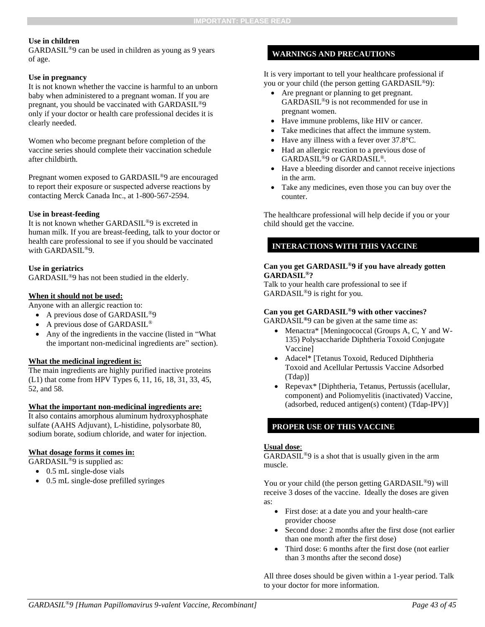### **Use in children**

GARDASIL®9 can be used in children as young as 9 years of age.

### **Use in pregnancy**

It is not known whether the vaccine is harmful to an unborn baby when administered to a pregnant woman. If you are pregnant, you should be vaccinated with GARDASIL®9 only if your doctor or health care professional decides it is clearly needed.

Women who become pregnant before completion of the vaccine series should complete their vaccination schedule after childbirth.

Pregnant women exposed to GARDASIL®9 are encouraged to report their exposure or suspected adverse reactions by contacting Merck Canada Inc., at 1-800-567-2594.

### **Use in breast-feeding**

It is not known whether GARDASIL®9 is excreted in human milk. If you are breast-feeding, talk to your doctor or health care professional to see if you should be vaccinated with GARDASIL<sup>®9</sup>.

### **Use in geriatrics**

GARDASIL®9 has not been studied in the elderly.

### **When it should not be used:**

Anyone with an allergic reaction to:

- A previous dose of GARDASIL<sup>®9</sup>
- A previous dose of GARDASIL®
- Any of the ingredients in the vaccine (listed in "What" the important non-medicinal ingredients are" section).

### **What the medicinal ingredient is:**

The main ingredients are highly purified inactive proteins (L1) that come from HPV Types 6, 11, 16, 18, 31, 33, 45, 52, and 58.

### **What the important non-medicinal ingredients are:**

It also contains amorphous aluminum hydroxyphosphate sulfate (AAHS Adjuvant), L-histidine, polysorbate 80, sodium borate, sodium chloride, and water for injection.

### **What dosage forms it comes in:**

GARDASIL®9 is supplied as:

- 0.5 mL single-dose vials
- 0.5 mL single-dose prefilled syringes

### **WARNINGS AND PRECAUTIONS**

It is very important to tell your healthcare professional if you or your child (the person getting GARDASIL®9):

- Are pregnant or planning to get pregnant. GARDASIL®9 is not recommended for use in pregnant women.
- Have immune problems, like HIV or cancer.
- Take medicines that affect the immune system.
- Have any illness with a fever over 37.8°C.
- Had an allergic reaction to a previous dose of GARDASIL®9 or GARDASIL®.
- Have a bleeding disorder and cannot receive injections in the arm.
- Take any medicines, even those you can buy over the counter.

The healthcare professional will help decide if you or your child should get the vaccine.

### **INTERACTIONS WITH THIS VACCINE**

### **Can you get GARDASIL®9 if you have already gotten GARDASIL®?**

Talk to your health care professional to see if GARDASIL®9 is right for you.

#### **Can you get GARDASIL®9 with other vaccines?**

GARDASIL**®**9 can be given at the same time as:

- Menactra\* [Meningococcal (Groups A, C, Y and W-135) Polysaccharide Diphtheria Toxoid Conjugate Vaccine]
- Adacel\* [Tetanus Toxoid, Reduced Diphtheria Toxoid and Acellular Pertussis Vaccine Adsorbed (Tdap)]
- Repevax\* [Diphtheria, Tetanus, Pertussis (acellular, component) and Poliomyelitis (inactivated) Vaccine, (adsorbed, reduced antigen(s) content) (Tdap-IPV)]

### **PROPER USE OF THIS VACCINE**

#### **Usual dose**:

GARDASIL®9 is a shot that is usually given in the arm muscle.

You or your child (the person getting GARDASIL®9) will receive 3 doses of the vaccine. Ideally the doses are given as:

- First dose: at a date you and your health-care provider choose
- Second dose: 2 months after the first dose (not earlier than one month after the first dose)
- Third dose: 6 months after the first dose (not earlier than 3 months after the second dose)

All three doses should be given within a 1-year period. Talk to your doctor for more information.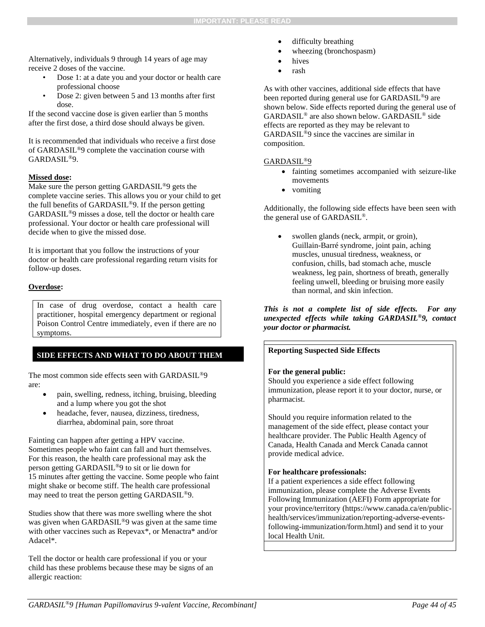Alternatively, individuals 9 through 14 years of age may receive 2 doses of the vaccine.

- Dose 1: at a date you and your doctor or health care professional choose
- Dose 2: given between 5 and 13 months after first dose.

If the second vaccine dose is given earlier than 5 months after the first dose, a third dose should always be given.

It is recommended that individuals who receive a first dose of GARDASIL®9 complete the vaccination course with GARDASIL®9.

### **Missed dose:**

Make sure the person getting GARDASIL®9 gets the complete vaccine series. This allows you or your child to get the full benefits of GARDASIL®9. If the person getting GARDASIL®9 misses a dose, tell the doctor or health care professional. Your doctor or health care professional will decide when to give the missed dose.

It is important that you follow the instructions of your doctor or health care professional regarding return visits for follow-up doses.

### **Overdose:**

In case of drug overdose, contact a health care practitioner, hospital emergency department or regional Poison Control Centre immediately, even if there are no symptoms.

### **SIDE EFFECTS AND WHAT TO DO ABOUT THEM**

The most common side effects seen with GARDASIL®9 are:

- pain, swelling, redness, itching, bruising, bleeding and a lump where you got the shot
- headache, fever, nausea, dizziness, tiredness, diarrhea, abdominal pain, sore throat

Fainting can happen after getting a HPV vaccine. Sometimes people who faint can fall and hurt themselves. For this reason, the health care professional may ask the person getting GARDASIL®9 to sit or lie down for 15 minutes after getting the vaccine. Some people who faint might shake or become stiff. The health care professional may need to treat the person getting GARDASIL®9.

Studies show that there was more swelling where the shot was given when GARDASIL®9 was given at the same time with other vaccines such as Repevax\*, or Menactra\* and/or Adacel\*.

Tell the doctor or health care professional if you or your child has these problems because these may be signs of an allergic reaction:

- difficulty breathing
- wheezing (bronchospasm)
- hives
- rash

As with other vaccines, additional side effects that have been reported during general use for GARDASIL®9 are shown below. Side effects reported during the general use of GARDASIL® are also shown below. GARDASIL® side effects are reported as they may be relevant to GARDASIL®9 since the vaccines are similar in composition.

### GARDASIL®9

- fainting sometimes accompanied with seizure-like movements
- vomiting

Additionally, the following side effects have been seen with the general use of GARDASIL ®.

swollen glands (neck, armpit, or groin), Guillain-Barré syndrome, joint pain, aching muscles, unusual tiredness, weakness, or confusion, chills, bad stomach ache, muscle weakness, leg pain, shortness of breath, generally feeling unwell, bleeding or bruising more easily than normal, and skin infection.

*This is not a complete list of side effects. For any unexpected effects while taking GARDASIL®9, contact your doctor or pharmacist.*

### **Reporting Suspected Side Effects**

### **For the general public:**

Should you experience a side effect following immunization, please report it to your doctor, nurse, or pharmacist.

Should you require information related to the management of the side effect, please contact your healthcare provider. The Public Health Agency of Canada, Health Canada and Merck Canada cannot provide medical advice.

### **For healthcare professionals:**

If a patient experiences a side effect following immunization, please complete the Adverse Events Following Immunization (AEFI) Form appropriate for your province/territory (https://www.canada.ca/en/publichealth/services/immunization/reporting-adverse-eventsfollowing-immunization/form.html) and send it to your local Health Unit.